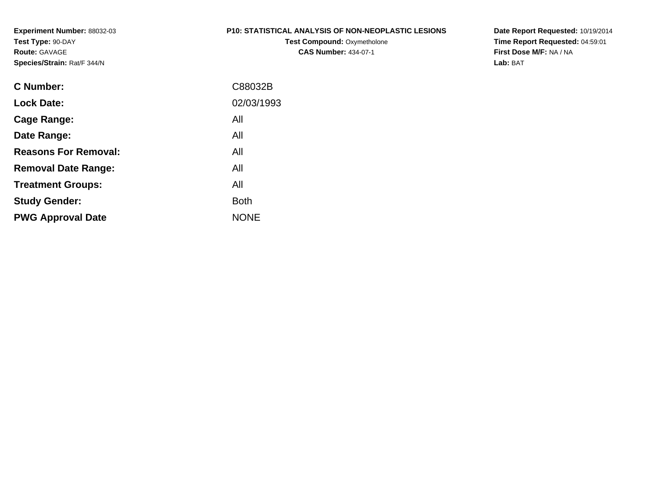#### **P10: STATISTICAL ANALYSIS OF NON-NEOPLASTIC LESIONS**

**Test Compound:** Oxymetholone**CAS Number:** 434-07-1

**Date Report Requested:** 10/19/2014 **Time Report Requested:** 04:59:01**First Dose M/F:** NA / NA**Lab:** BAT

| C Number:                   | C88032B     |
|-----------------------------|-------------|
| <b>Lock Date:</b>           | 02/03/1993  |
| Cage Range:                 | All         |
| Date Range:                 | All         |
| <b>Reasons For Removal:</b> | All         |
| <b>Removal Date Range:</b>  | All         |
| <b>Treatment Groups:</b>    | All         |
| <b>Study Gender:</b>        | <b>Both</b> |
| <b>PWG Approval Date</b>    | <b>NONE</b> |
|                             |             |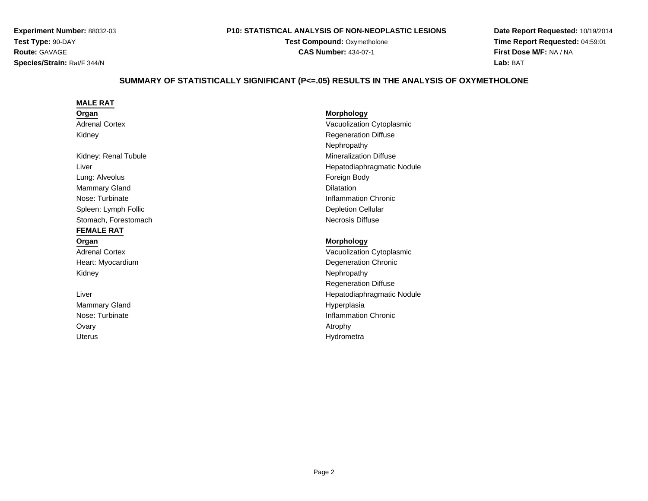#### **P10: STATISTICAL ANALYSIS OF NON-NEOPLASTIC LESIONS**

**Test Compound: Oxymetholone CAS Number:** 434-07-1

**Date Report Requested:** 10/19/2014**Time Report Requested:** 04:59:01**First Dose M/F:** NA / NA**Lab:** BAT

# **SUMMARY OF STATISTICALLY SIGNIFICANT (P<=.05) RESULTS IN THE ANALYSIS OF OXYMETHOLONE**

| <b>MALE RAT</b>       |                               |
|-----------------------|-------------------------------|
| Organ                 | <b>Morphology</b>             |
| <b>Adrenal Cortex</b> | Vacuolization Cytoplasmic     |
| Kidney                | <b>Regeneration Diffuse</b>   |
|                       | Nephropathy                   |
| Kidney: Renal Tubule  | <b>Mineralization Diffuse</b> |
| Liver                 | Hepatodiaphragmatic Nodule    |
| Lung: Alveolus        | Foreign Body                  |
| <b>Mammary Gland</b>  | <b>Dilatation</b>             |
| Nose: Turbinate       | Inflammation Chronic          |
| Spleen: Lymph Follic  | <b>Depletion Cellular</b>     |
| Stomach, Forestomach  | <b>Necrosis Diffuse</b>       |
| <b>FEMALE RAT</b>     |                               |
| Organ                 | <b>Morphology</b>             |
| <b>Adrenal Cortex</b> | Vacuolization Cytoplasmic     |
| Heart: Myocardium     | Degeneration Chronic          |
| Kidney                | Nephropathy                   |
|                       | <b>Regeneration Diffuse</b>   |
| Liver                 | Hepatodiaphragmatic Nodule    |
| <b>Mammary Gland</b>  | Hyperplasia                   |
| Nose: Turbinate       | <b>Inflammation Chronic</b>   |
| Ovary                 | Atrophy                       |
| <b>Uterus</b>         | Hydrometra                    |
|                       |                               |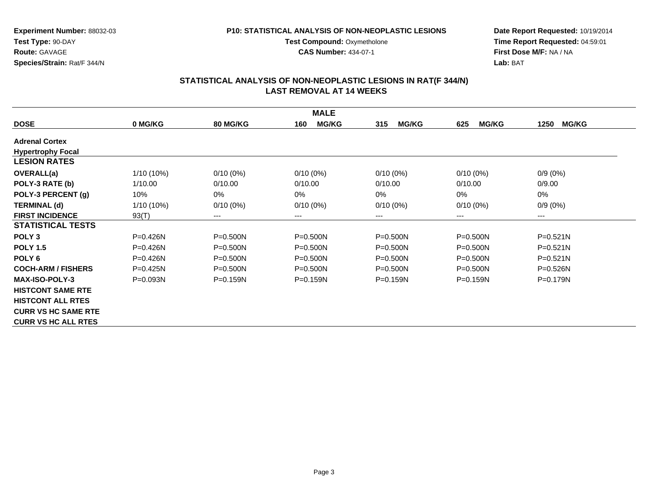#### **P10: STATISTICAL ANALYSIS OF NON-NEOPLASTIC LESIONS**

**Test Compound: Oxymetholone CAS Number:** 434-07-1

**Date Report Requested:** 10/19/2014**Time Report Requested:** 04:59:01**First Dose M/F:** NA / NA**Lab:** BAT

|                            |              |                        | <b>MALE</b>         |                     |                     |                      |
|----------------------------|--------------|------------------------|---------------------|---------------------|---------------------|----------------------|
| <b>DOSE</b>                | 0 MG/KG      | <b>80 MG/KG</b>        | <b>MG/KG</b><br>160 | <b>MG/KG</b><br>315 | <b>MG/KG</b><br>625 | <b>MG/KG</b><br>1250 |
| <b>Adrenal Cortex</b>      |              |                        |                     |                     |                     |                      |
| <b>Hypertrophy Focal</b>   |              |                        |                     |                     |                     |                      |
| <b>LESION RATES</b>        |              |                        |                     |                     |                     |                      |
| <b>OVERALL(a)</b>          | 1/10 (10%)   | $0/10(0\%)$            | $0/10(0\%)$         | $0/10(0\%)$         | $0/10(0\%)$         | $0/9(0\%)$           |
| POLY-3 RATE (b)            | 1/10.00      | 0/10.00                | 0/10.00             | 0/10.00             | 0/10.00             | 0/9.00               |
| POLY-3 PERCENT (g)         | 10%          | $0\%$                  | 0%                  | 0%                  | 0%                  | $0\%$                |
| <b>TERMINAL (d)</b>        | 1/10 (10%)   | $0/10(0\%)$            | $0/10(0\%)$         | $0/10(0\%)$         | $0/10(0\%)$         | $0/9(0\%)$           |
| <b>FIRST INCIDENCE</b>     | 93(T)        | $\qquad \qquad \cdots$ | $--$                | $--$                | ---                 | ---                  |
| <b>STATISTICAL TESTS</b>   |              |                        |                     |                     |                     |                      |
| POLY <sub>3</sub>          | P=0.426N     | $P = 0.500N$           | $P = 0.500N$        | $P = 0.500N$        | $P = 0.500N$        | $P = 0.521N$         |
| <b>POLY 1.5</b>            | $P = 0.426N$ | $P = 0.500N$           | $P = 0.500N$        | $P = 0.500N$        | $P = 0.500N$        | $P = 0.521N$         |
| POLY <sub>6</sub>          | $P = 0.426N$ | $P = 0.500N$           | $P = 0.500N$        | $P = 0.500N$        | P=0.500N            | $P = 0.521N$         |
| <b>COCH-ARM / FISHERS</b>  | $P = 0.425N$ | $P = 0.500N$           | $P = 0.500N$        | $P = 0.500N$        | $P = 0.500N$        | $P = 0.526N$         |
| <b>MAX-ISO-POLY-3</b>      | $P = 0.093N$ | $P = 0.159N$           | $P = 0.159N$        | $P = 0.159N$        | $P = 0.159N$        | $P = 0.179N$         |
| <b>HISTCONT SAME RTE</b>   |              |                        |                     |                     |                     |                      |
| <b>HISTCONT ALL RTES</b>   |              |                        |                     |                     |                     |                      |
| <b>CURR VS HC SAME RTE</b> |              |                        |                     |                     |                     |                      |
| <b>CURR VS HC ALL RTES</b> |              |                        |                     |                     |                     |                      |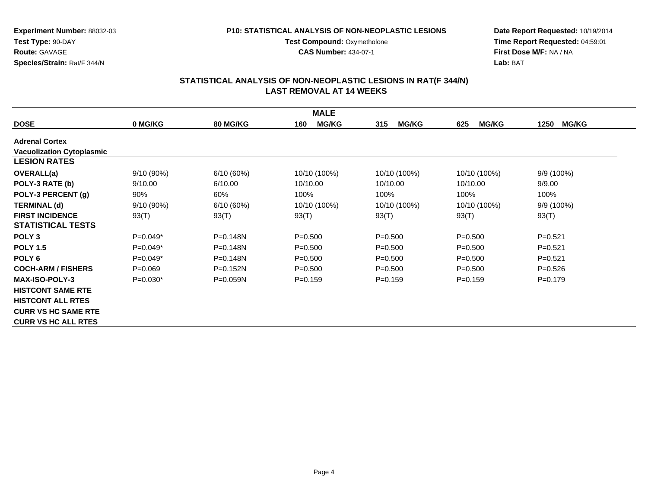#### **P10: STATISTICAL ANALYSIS OF NON-NEOPLASTIC LESIONS**

**Test Compound: Oxymetholone** 

**CAS Number:** 434-07-1

**Date Report Requested:** 10/19/2014**Time Report Requested:** 04:59:01**First Dose M/F:** NA / NA**Lab:** BAT

|                                  |              |                 | <b>MALE</b>         |                     |                     |                      |
|----------------------------------|--------------|-----------------|---------------------|---------------------|---------------------|----------------------|
| <b>DOSE</b>                      | 0 MG/KG      | <b>80 MG/KG</b> | <b>MG/KG</b><br>160 | <b>MG/KG</b><br>315 | <b>MG/KG</b><br>625 | <b>MG/KG</b><br>1250 |
| <b>Adrenal Cortex</b>            |              |                 |                     |                     |                     |                      |
| <b>Vacuolization Cytoplasmic</b> |              |                 |                     |                     |                     |                      |
| <b>LESION RATES</b>              |              |                 |                     |                     |                     |                      |
| <b>OVERALL(a)</b>                | 9/10 (90%)   | 6/10(60%)       | 10/10 (100%)        | 10/10 (100%)        | 10/10 (100%)        | 9/9 (100%)           |
| POLY-3 RATE (b)                  | 9/10.00      | 6/10.00         | 10/10.00            | 10/10.00            | 10/10.00            | 9/9.00               |
| POLY-3 PERCENT (g)               | 90%          | 60%             | 100%                | 100%                | 100%                | 100%                 |
| <b>TERMINAL (d)</b>              | $9/10(90\%)$ | 6/10(60%)       | 10/10 (100%)        | 10/10 (100%)        | 10/10 (100%)        | $9/9(100\%)$         |
| <b>FIRST INCIDENCE</b>           | 93(T)        | 93(T)           | 93(T)               | 93(T)               | 93(T)               | 93(T)                |
| <b>STATISTICAL TESTS</b>         |              |                 |                     |                     |                     |                      |
| POLY <sub>3</sub>                | $P=0.049*$   | $P = 0.148N$    | $P = 0.500$         | $P = 0.500$         | $P = 0.500$         | $P=0.521$            |
| <b>POLY 1.5</b>                  | $P=0.049*$   | $P = 0.148N$    | $P = 0.500$         | $P = 0.500$         | $P = 0.500$         | $P = 0.521$          |
| POLY <sub>6</sub>                | $P=0.049*$   | $P = 0.148N$    | $P = 0.500$         | $P = 0.500$         | $P = 0.500$         | $P=0.521$            |
| <b>COCH-ARM / FISHERS</b>        | $P=0.069$    | $P=0.152N$      | $P = 0.500$         | $P = 0.500$         | $P = 0.500$         | $P=0.526$            |
| <b>MAX-ISO-POLY-3</b>            | $P=0.030*$   | $P = 0.059N$    | $P = 0.159$         | $P=0.159$           | $P = 0.159$         | $P = 0.179$          |
| <b>HISTCONT SAME RTE</b>         |              |                 |                     |                     |                     |                      |
| <b>HISTCONT ALL RTES</b>         |              |                 |                     |                     |                     |                      |
| <b>CURR VS HC SAME RTE</b>       |              |                 |                     |                     |                     |                      |
| <b>CURR VS HC ALL RTES</b>       |              |                 |                     |                     |                     |                      |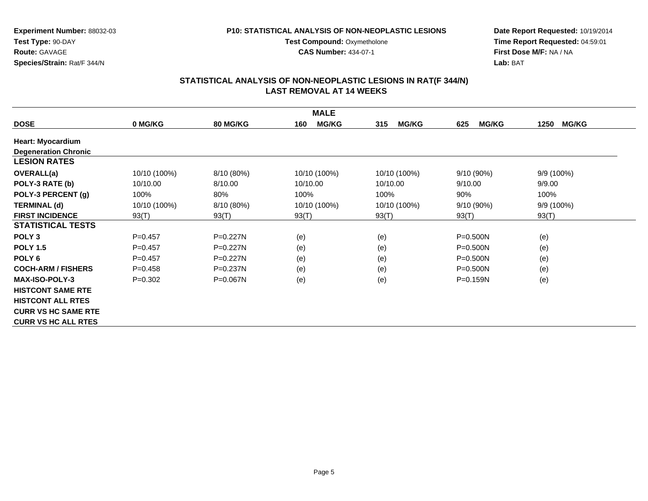#### **P10: STATISTICAL ANALYSIS OF NON-NEOPLASTIC LESIONS**

**Test Compound: Oxymetholone CAS Number:** 434-07-1

**Date Report Requested:** 10/19/2014**Time Report Requested:** 04:59:01**First Dose M/F:** NA / NA**Lab:** BAT

|                             |              |                 | <b>MALE</b>         |                     |                     |                      |
|-----------------------------|--------------|-----------------|---------------------|---------------------|---------------------|----------------------|
| <b>DOSE</b>                 | 0 MG/KG      | <b>80 MG/KG</b> | <b>MG/KG</b><br>160 | <b>MG/KG</b><br>315 | <b>MG/KG</b><br>625 | <b>MG/KG</b><br>1250 |
| <b>Heart: Myocardium</b>    |              |                 |                     |                     |                     |                      |
| <b>Degeneration Chronic</b> |              |                 |                     |                     |                     |                      |
| <b>LESION RATES</b>         |              |                 |                     |                     |                     |                      |
| <b>OVERALL(a)</b>           | 10/10 (100%) | 8/10 (80%)      | 10/10 (100%)        | 10/10 (100%)        | $9/10(90\%)$        | 9/9 (100%)           |
| POLY-3 RATE (b)             | 10/10.00     | 8/10.00         | 10/10.00            | 10/10.00            | 9/10.00             | 9/9.00               |
| POLY-3 PERCENT (g)          | 100%         | 80%             | 100%                | 100%                | 90%                 | 100%                 |
| <b>TERMINAL (d)</b>         | 10/10 (100%) | 8/10 (80%)      | 10/10 (100%)        | 10/10 (100%)        | 9/10 (90%)          | 9/9 (100%)           |
| <b>FIRST INCIDENCE</b>      | 93(T)        | 93(T)           | 93(T)               | 93(T)               | 93(T)               | 93(T)                |
| <b>STATISTICAL TESTS</b>    |              |                 |                     |                     |                     |                      |
| POLY <sub>3</sub>           | $P=0.457$    | $P = 0.227N$    | (e)                 | (e)                 | $P = 0.500N$        | (e)                  |
| <b>POLY 1.5</b>             | $P=0.457$    | P=0.227N        | (e)                 | (e)                 | $P = 0.500N$        | (e)                  |
| POLY <sub>6</sub>           | $P=0.457$    | $P = 0.227N$    | (e)                 | (e)                 | P=0.500N            | (e)                  |
| <b>COCH-ARM / FISHERS</b>   | $P=0.458$    | $P = 0.237N$    | (e)                 | (e)                 | P=0.500N            | (e)                  |
| <b>MAX-ISO-POLY-3</b>       | $P = 0.302$  | $P = 0.067N$    | (e)                 | (e)                 | $P = 0.159N$        | (e)                  |
| <b>HISTCONT SAME RTE</b>    |              |                 |                     |                     |                     |                      |
| <b>HISTCONT ALL RTES</b>    |              |                 |                     |                     |                     |                      |
| <b>CURR VS HC SAME RTE</b>  |              |                 |                     |                     |                     |                      |
| <b>CURR VS HC ALL RTES</b>  |              |                 |                     |                     |                     |                      |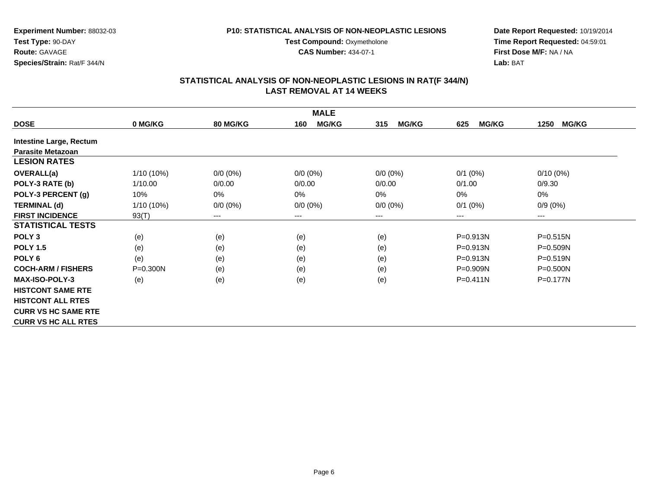#### **P10: STATISTICAL ANALYSIS OF NON-NEOPLASTIC LESIONS**

**Test Compound: Oxymetholone CAS Number:** 434-07-1

**Date Report Requested:** 10/19/2014**Time Report Requested:** 04:59:01**First Dose M/F:** NA / NA**Lab:** BAT

|                                |              |                 | <b>MALE</b>            |                     |                     |                      |
|--------------------------------|--------------|-----------------|------------------------|---------------------|---------------------|----------------------|
| <b>DOSE</b>                    | 0 MG/KG      | <b>80 MG/KG</b> | <b>MG/KG</b><br>160    | <b>MG/KG</b><br>315 | <b>MG/KG</b><br>625 | <b>MG/KG</b><br>1250 |
| <b>Intestine Large, Rectum</b> |              |                 |                        |                     |                     |                      |
| <b>Parasite Metazoan</b>       |              |                 |                        |                     |                     |                      |
| <b>LESION RATES</b>            |              |                 |                        |                     |                     |                      |
| <b>OVERALL(a)</b>              | 1/10 (10%)   | $0/0 (0\%)$     | $0/0 (0\%)$            | $0/0 (0\%)$         | $0/1$ (0%)          | $0/10(0\%)$          |
| POLY-3 RATE (b)                | 1/10.00      | 0/0.00          | 0/0.00                 | 0/0.00              | 0/1.00              | 0/9.30               |
| POLY-3 PERCENT (g)             | 10%          | 0%              | 0%                     | $0\%$               | 0%                  | 0%                   |
| <b>TERMINAL (d)</b>            | 1/10 (10%)   | $0/0 (0\%)$     | $0/0 (0\%)$            | $0/0 (0\%)$         | $0/1$ (0%)          | $0/9(0\%)$           |
| <b>FIRST INCIDENCE</b>         | 93(T)        | ---             | $\qquad \qquad \cdots$ | ---                 | ---                 | ---                  |
| <b>STATISTICAL TESTS</b>       |              |                 |                        |                     |                     |                      |
| POLY <sub>3</sub>              | (e)          | (e)             | (e)                    | (e)                 | P=0.913N            | $P = 0.515N$         |
| <b>POLY 1.5</b>                | (e)          | (e)             | (e)                    | (e)                 | P=0.913N            | P=0.509N             |
| POLY <sub>6</sub>              | (e)          | (e)             | (e)                    | (e)                 | P=0.913N            | P=0.519N             |
| <b>COCH-ARM / FISHERS</b>      | $P = 0.300N$ | (e)             | (e)                    | (e)                 | $P = 0.909N$        | $P = 0.500N$         |
| <b>MAX-ISO-POLY-3</b>          | (e)          | (e)             | (e)                    | (e)                 | $P = 0.411N$        | $P = 0.177N$         |
| <b>HISTCONT SAME RTE</b>       |              |                 |                        |                     |                     |                      |
| <b>HISTCONT ALL RTES</b>       |              |                 |                        |                     |                     |                      |
| <b>CURR VS HC SAME RTE</b>     |              |                 |                        |                     |                     |                      |
| <b>CURR VS HC ALL RTES</b>     |              |                 |                        |                     |                     |                      |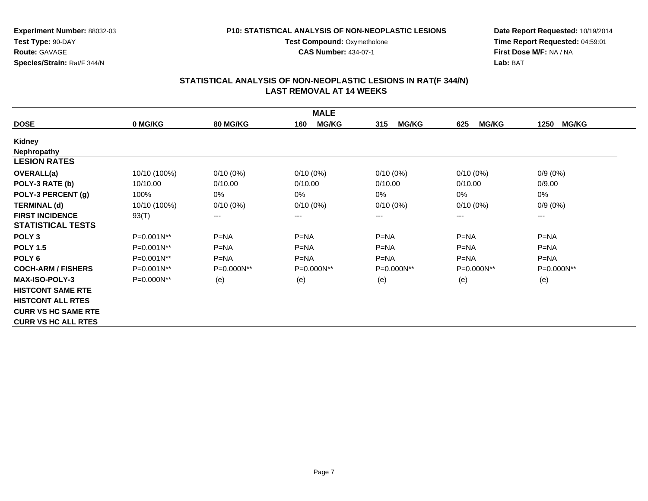#### **P10: STATISTICAL ANALYSIS OF NON-NEOPLASTIC LESIONS**

**Test Compound: Oxymetholone CAS Number:** 434-07-1

**Date Report Requested:** 10/19/2014**Time Report Requested:** 04:59:01**First Dose M/F:** NA / NA**Lab:** BAT

|                            |                 |                 | <b>MALE</b>         |                     |                     |                      |
|----------------------------|-----------------|-----------------|---------------------|---------------------|---------------------|----------------------|
| <b>DOSE</b>                | 0 MG/KG         | <b>80 MG/KG</b> | <b>MG/KG</b><br>160 | <b>MG/KG</b><br>315 | <b>MG/KG</b><br>625 | <b>MG/KG</b><br>1250 |
| <b>Kidney</b>              |                 |                 |                     |                     |                     |                      |
| <b>Nephropathy</b>         |                 |                 |                     |                     |                     |                      |
| <b>LESION RATES</b>        |                 |                 |                     |                     |                     |                      |
| <b>OVERALL(a)</b>          | 10/10 (100%)    | $0/10(0\%)$     | $0/10(0\%)$         | $0/10(0\%)$         | $0/10(0\%)$         | $0/9(0\%)$           |
| POLY-3 RATE (b)            | 10/10.00        | 0/10.00         | 0/10.00             | 0/10.00             | 0/10.00             | 0/9.00               |
| POLY-3 PERCENT (g)         | 100%            | 0%              | $0\%$               | 0%                  | 0%                  | 0%                   |
| <b>TERMINAL (d)</b>        | 10/10 (100%)    | $0/10(0\%)$     | $0/10(0\%)$         | $0/10(0\%)$         | $0/10(0\%)$         | $0/9(0\%)$           |
| <b>FIRST INCIDENCE</b>     | 93(T)           | $\cdots$        | $\cdots$            | ---                 | ---                 | $---$                |
| <b>STATISTICAL TESTS</b>   |                 |                 |                     |                     |                     |                      |
| POLY <sub>3</sub>          | $P=0.001N^{**}$ | $P=NA$          | $P=NA$              | $P=NA$              | $P=NA$              | $P=NA$               |
| <b>POLY 1.5</b>            | P=0.001N**      | $P = NA$        | $P = NA$            | $P = NA$            | $P = NA$            | $P = NA$             |
| POLY <sub>6</sub>          | P=0.001N**      | $P=NA$          | $P=NA$              | $P=NA$              | $P=NA$              | $P=NA$               |
| <b>COCH-ARM / FISHERS</b>  | P=0.001N**      | P=0.000N**      | P=0.000N**          | P=0.000N**          | P=0.000N**          | P=0.000N**           |
| <b>MAX-ISO-POLY-3</b>      | P=0.000N**      | (e)             | (e)                 | (e)                 | (e)                 | (e)                  |
| <b>HISTCONT SAME RTE</b>   |                 |                 |                     |                     |                     |                      |
| <b>HISTCONT ALL RTES</b>   |                 |                 |                     |                     |                     |                      |
| <b>CURR VS HC SAME RTE</b> |                 |                 |                     |                     |                     |                      |
| <b>CURR VS HC ALL RTES</b> |                 |                 |                     |                     |                     |                      |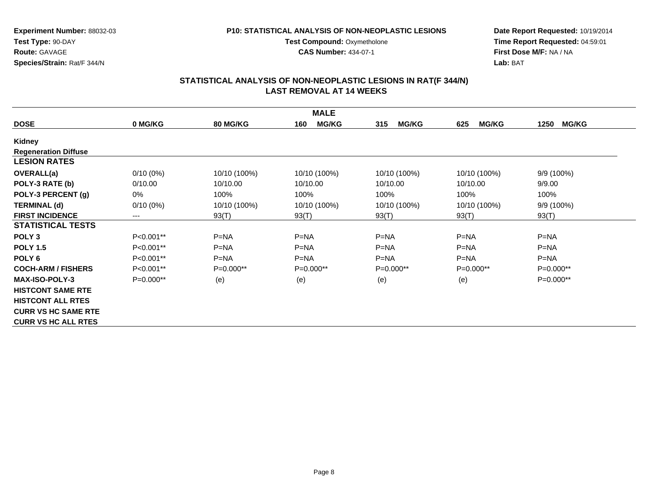#### **P10: STATISTICAL ANALYSIS OF NON-NEOPLASTIC LESIONS**

**Test Compound: Oxymetholone CAS Number:** 434-07-1

**Date Report Requested:** 10/19/2014**Time Report Requested:** 04:59:01**First Dose M/F:** NA / NA**Lab:** BAT

|                             |                        |                 | <b>MALE</b>         |                     |                     |                      |
|-----------------------------|------------------------|-----------------|---------------------|---------------------|---------------------|----------------------|
| <b>DOSE</b>                 | 0 MG/KG                | <b>80 MG/KG</b> | <b>MG/KG</b><br>160 | <b>MG/KG</b><br>315 | <b>MG/KG</b><br>625 | <b>MG/KG</b><br>1250 |
| Kidney                      |                        |                 |                     |                     |                     |                      |
| <b>Regeneration Diffuse</b> |                        |                 |                     |                     |                     |                      |
| <b>LESION RATES</b>         |                        |                 |                     |                     |                     |                      |
| <b>OVERALL(a)</b>           | $0/10(0\%)$            | 10/10 (100%)    | 10/10 (100%)        | 10/10 (100%)        | 10/10 (100%)        | $9/9(100\%)$         |
| POLY-3 RATE (b)             | 0/10.00                | 10/10.00        | 10/10.00            | 10/10.00            | 10/10.00            | 9/9.00               |
| POLY-3 PERCENT (g)          | 0%                     | 100%            | 100%                | 100%                | 100%                | 100%                 |
| <b>TERMINAL (d)</b>         | $0/10(0\%)$            | 10/10 (100%)    | 10/10 (100%)        | 10/10 (100%)        | 10/10 (100%)        | 9/9 (100%)           |
| <b>FIRST INCIDENCE</b>      | $\qquad \qquad \cdots$ | 93(T)           | 93(T)               | 93(T)               | 93(T)               | 93(T)                |
| <b>STATISTICAL TESTS</b>    |                        |                 |                     |                     |                     |                      |
| POLY <sub>3</sub>           | P<0.001**              | $P=NA$          | $P=NA$              | $P=NA$              | $P=NA$              | $P=NA$               |
| <b>POLY 1.5</b>             | P<0.001**              | $P=NA$          | $P = NA$            | $P = NA$            | $P = NA$            | $P = NA$             |
| POLY <sub>6</sub>           | P<0.001**              | $P = NA$        | $P = NA$            | $P = NA$            | $P=NA$              | $P = NA$             |
| <b>COCH-ARM / FISHERS</b>   | P<0.001**              | $P=0.000**$     | P=0.000**           | $P=0.000**$         | $P=0.000**$         | $P=0.000**$          |
| <b>MAX-ISO-POLY-3</b>       | P=0.000**              | (e)             | (e)                 | (e)                 | (e)                 | $P=0.000**$          |
| <b>HISTCONT SAME RTE</b>    |                        |                 |                     |                     |                     |                      |
| <b>HISTCONT ALL RTES</b>    |                        |                 |                     |                     |                     |                      |
| <b>CURR VS HC SAME RTE</b>  |                        |                 |                     |                     |                     |                      |
| <b>CURR VS HC ALL RTES</b>  |                        |                 |                     |                     |                     |                      |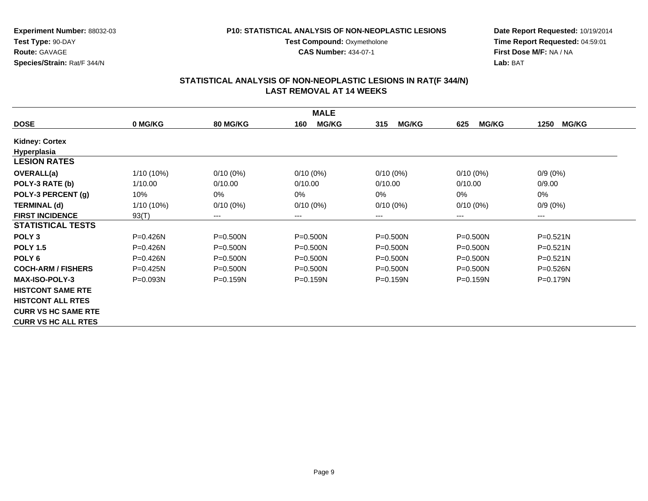#### **P10: STATISTICAL ANALYSIS OF NON-NEOPLASTIC LESIONS**

**Test Compound: Oxymetholone CAS Number:** 434-07-1

**Date Report Requested:** 10/19/2014**Time Report Requested:** 04:59:01**First Dose M/F:** NA / NA**Lab:** BAT

|                            |              |                        | <b>MALE</b>         |                     |                     |                      |
|----------------------------|--------------|------------------------|---------------------|---------------------|---------------------|----------------------|
| <b>DOSE</b>                | 0 MG/KG      | <b>80 MG/KG</b>        | <b>MG/KG</b><br>160 | <b>MG/KG</b><br>315 | <b>MG/KG</b><br>625 | <b>MG/KG</b><br>1250 |
| <b>Kidney: Cortex</b>      |              |                        |                     |                     |                     |                      |
| Hyperplasia                |              |                        |                     |                     |                     |                      |
| <b>LESION RATES</b>        |              |                        |                     |                     |                     |                      |
| <b>OVERALL(a)</b>          | 1/10 (10%)   | $0/10(0\%)$            | $0/10(0\%)$         | $0/10(0\%)$         | $0/10(0\%)$         | $0/9(0\%)$           |
| POLY-3 RATE (b)            | 1/10.00      | 0/10.00                | 0/10.00             | 0/10.00             | 0/10.00             | 0/9.00               |
| POLY-3 PERCENT (g)         | 10%          | $0\%$                  | 0%                  | 0%                  | 0%                  | $0\%$                |
| <b>TERMINAL (d)</b>        | 1/10 (10%)   | $0/10(0\%)$            | $0/10(0\%)$         | $0/10(0\%)$         | $0/10(0\%)$         | $0/9(0\%)$           |
| <b>FIRST INCIDENCE</b>     | 93(T)        | $\qquad \qquad \cdots$ | ---                 | ---                 | ---                 | ---                  |
| <b>STATISTICAL TESTS</b>   |              |                        |                     |                     |                     |                      |
| POLY <sub>3</sub>          | P=0.426N     | $P = 0.500N$           | $P = 0.500N$        | $P = 0.500N$        | $P = 0.500N$        | $P = 0.521N$         |
| <b>POLY 1.5</b>            | $P = 0.426N$ | $P = 0.500N$           | $P = 0.500N$        | $P = 0.500N$        | P=0.500N            | $P = 0.521N$         |
| POLY <sub>6</sub>          | P=0.426N     | $P = 0.500N$           | $P = 0.500N$        | $P = 0.500N$        | P=0.500N            | $P = 0.521N$         |
| <b>COCH-ARM / FISHERS</b>  | $P=0.425N$   | $P = 0.500N$           | $P = 0.500N$        | $P = 0.500N$        | $P = 0.500N$        | P=0.526N             |
| <b>MAX-ISO-POLY-3</b>      | $P = 0.093N$ | $P = 0.159N$           | $P = 0.159N$        | $P = 0.159N$        | $P = 0.159N$        | P=0.179N             |
| <b>HISTCONT SAME RTE</b>   |              |                        |                     |                     |                     |                      |
| <b>HISTCONT ALL RTES</b>   |              |                        |                     |                     |                     |                      |
| <b>CURR VS HC SAME RTE</b> |              |                        |                     |                     |                     |                      |
| <b>CURR VS HC ALL RTES</b> |              |                        |                     |                     |                     |                      |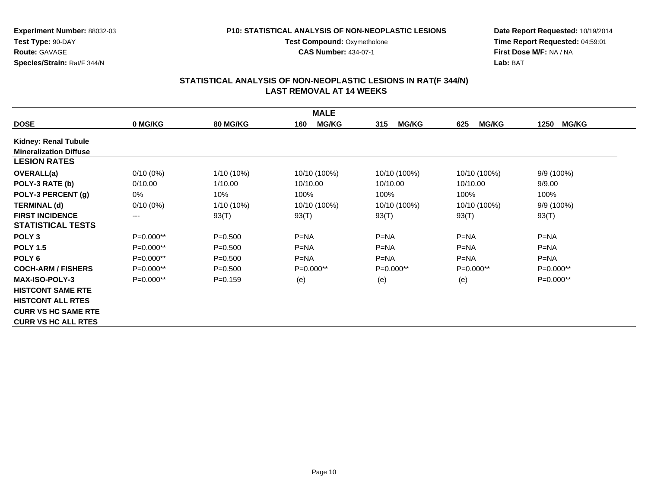#### **P10: STATISTICAL ANALYSIS OF NON-NEOPLASTIC LESIONS**

**Test Compound: Oxymetholone CAS Number:** 434-07-1

**Date Report Requested:** 10/19/2014**Time Report Requested:** 04:59:01**First Dose M/F:** NA / NA**Lab:** BAT

|                               |             |                 | <b>MALE</b>         |                     |                     |                      |
|-------------------------------|-------------|-----------------|---------------------|---------------------|---------------------|----------------------|
| <b>DOSE</b>                   | 0 MG/KG     | <b>80 MG/KG</b> | <b>MG/KG</b><br>160 | <b>MG/KG</b><br>315 | <b>MG/KG</b><br>625 | <b>MG/KG</b><br>1250 |
| <b>Kidney: Renal Tubule</b>   |             |                 |                     |                     |                     |                      |
| <b>Mineralization Diffuse</b> |             |                 |                     |                     |                     |                      |
| <b>LESION RATES</b>           |             |                 |                     |                     |                     |                      |
| <b>OVERALL(a)</b>             | $0/10(0\%)$ | 1/10 (10%)      | 10/10 (100%)        | 10/10 (100%)        | 10/10 (100%)        | 9/9 (100%)           |
| POLY-3 RATE (b)               | 0/10.00     | 1/10.00         | 10/10.00            | 10/10.00            | 10/10.00            | 9/9.00               |
| POLY-3 PERCENT (g)            | 0%          | 10%             | 100%                | 100%                | 100%                | 100%                 |
| <b>TERMINAL (d)</b>           | $0/10(0\%)$ | 1/10 (10%)      | 10/10 (100%)        | 10/10 (100%)        | 10/10 (100%)        | $9/9(100\%)$         |
| <b>FIRST INCIDENCE</b>        | $---$       | 93(T)           | 93(T)               | 93(T)               | 93(T)               | 93(T)                |
| <b>STATISTICAL TESTS</b>      |             |                 |                     |                     |                     |                      |
| POLY <sub>3</sub>             | P=0.000**   | $P = 0.500$     | $P=NA$              | $P=NA$              | $P=NA$              | $P=NA$               |
| <b>POLY 1.5</b>               | P=0.000**   | $P = 0.500$     | $P = NA$            | $P = NA$            | $P = NA$            | $P = NA$             |
| POLY <sub>6</sub>             | P=0.000**   | $P = 0.500$     | $P=NA$              | $P=NA$              | $P=NA$              | $P=NA$               |
| <b>COCH-ARM / FISHERS</b>     | $P=0.000**$ | $P = 0.500$     | $P=0.000**$         | $P=0.000**$         | $P=0.000**$         | $P=0.000**$          |
| <b>MAX-ISO-POLY-3</b>         | $P=0.000**$ | $P = 0.159$     | (e)                 | (e)                 | (e)                 | $P=0.000**$          |
| <b>HISTCONT SAME RTE</b>      |             |                 |                     |                     |                     |                      |
| <b>HISTCONT ALL RTES</b>      |             |                 |                     |                     |                     |                      |
| <b>CURR VS HC SAME RTE</b>    |             |                 |                     |                     |                     |                      |
| <b>CURR VS HC ALL RTES</b>    |             |                 |                     |                     |                     |                      |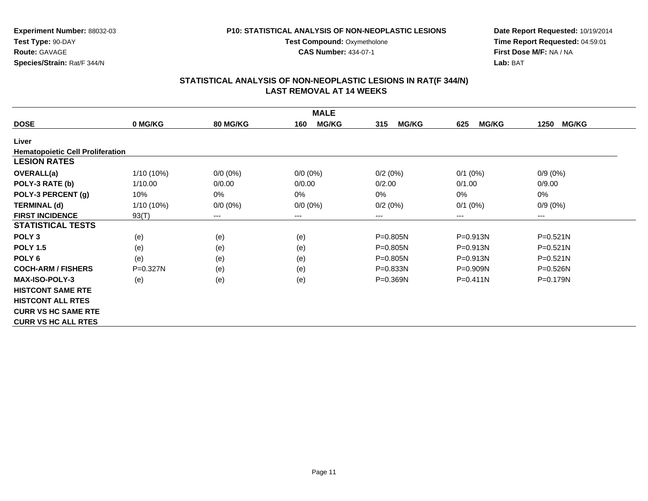**CAS Number:** 434-07-1

**Experiment Number:** 88032-03**Test Type:** 90-DAY**Route:** GAVAGE**Species/Strain:** Rat/F 344/N

**Date Report Requested:** 10/19/2014**Time Report Requested:** 04:59:01**First Dose M/F:** NA / NA**Lab:** BAT

|                                         |              |                 | <b>MALE</b>         |                     |                     |                      |
|-----------------------------------------|--------------|-----------------|---------------------|---------------------|---------------------|----------------------|
| <b>DOSE</b>                             | 0 MG/KG      | <b>80 MG/KG</b> | <b>MG/KG</b><br>160 | <b>MG/KG</b><br>315 | <b>MG/KG</b><br>625 | <b>MG/KG</b><br>1250 |
| Liver                                   |              |                 |                     |                     |                     |                      |
| <b>Hematopoietic Cell Proliferation</b> |              |                 |                     |                     |                     |                      |
| <b>LESION RATES</b>                     |              |                 |                     |                     |                     |                      |
| <b>OVERALL(a)</b>                       | 1/10 (10%)   | $0/0 (0\%)$     | $0/0 (0\%)$         | 0/2(0%)             | $0/1$ (0%)          | $0/9(0\%)$           |
| POLY-3 RATE (b)                         | 1/10.00      | 0/0.00          | 0/0.00              | 0/2.00              | 0/1.00              | 0/9.00               |
| POLY-3 PERCENT (g)                      | 10%          | 0%              | 0%                  | $0\%$               | 0%                  | 0%                   |
| <b>TERMINAL (d)</b>                     | $1/10(10\%)$ | $0/0 (0\%)$     | $0/0 (0\%)$         | 0/2(0%)             | $0/1$ $(0%)$        | $0/9(0\%)$           |
| <b>FIRST INCIDENCE</b>                  | 93(T)        | $---$           | ---                 | ---                 | ---                 | $---$                |
| <b>STATISTICAL TESTS</b>                |              |                 |                     |                     |                     |                      |
| POLY <sub>3</sub>                       | (e)          | (e)             | (e)                 | P=0.805N            | $P = 0.913N$        | P=0.521N             |
| <b>POLY 1.5</b>                         | (e)          | (e)             | (e)                 | P=0.805N            | P=0.913N            | P=0.521N             |
| POLY <sub>6</sub>                       | (e)          | (e)             | (e)                 | $P = 0.805N$        | $P = 0.913N$        | $P = 0.521N$         |
| <b>COCH-ARM / FISHERS</b>               | P=0.327N     | (e)             | (e)                 | P=0.833N            | P=0.909N            | P=0.526N             |
| <b>MAX-ISO-POLY-3</b>                   | (e)          | (e)             | (e)                 | $P = 0.369N$        | $P = 0.411N$        | $P = 0.179N$         |
| <b>HISTCONT SAME RTE</b>                |              |                 |                     |                     |                     |                      |
| <b>HISTCONT ALL RTES</b>                |              |                 |                     |                     |                     |                      |
| <b>CURR VS HC SAME RTE</b>              |              |                 |                     |                     |                     |                      |
| <b>CURR VS HC ALL RTES</b>              |              |                 |                     |                     |                     |                      |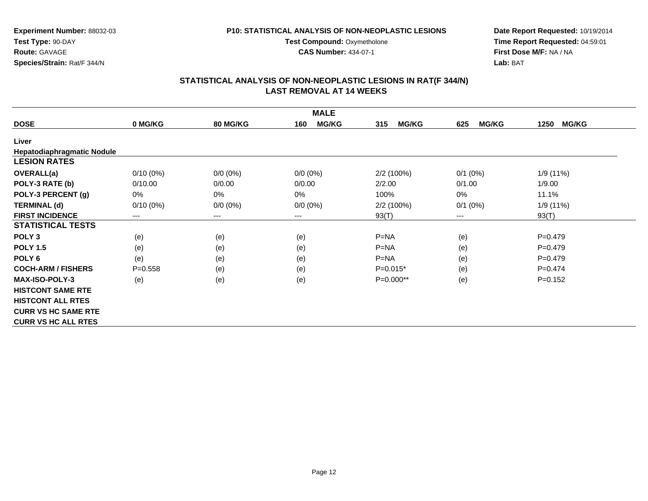**CAS Number:** 434-07-1

**Experiment Number:** 88032-03**Test Type:** 90-DAY**Route:** GAVAGE**Species/Strain:** Rat/F 344/N

**Date Report Requested:** 10/19/2014**Time Report Requested:** 04:59:01**First Dose M/F:** NA / NA**Lab:** BAT

|                                   |             |                 | <b>MALE</b>         |                     |                     |                      |
|-----------------------------------|-------------|-----------------|---------------------|---------------------|---------------------|----------------------|
| <b>DOSE</b>                       | 0 MG/KG     | <b>80 MG/KG</b> | <b>MG/KG</b><br>160 | <b>MG/KG</b><br>315 | <b>MG/KG</b><br>625 | <b>MG/KG</b><br>1250 |
| Liver                             |             |                 |                     |                     |                     |                      |
| <b>Hepatodiaphragmatic Nodule</b> |             |                 |                     |                     |                     |                      |
| <b>LESION RATES</b>               |             |                 |                     |                     |                     |                      |
| <b>OVERALL(a)</b>                 | $0/10(0\%)$ | $0/0 (0\%)$     | $0/0 (0\%)$         | 2/2(100%)           | $0/1$ (0%)          | 1/9 (11%)            |
| POLY-3 RATE (b)                   | 0/10.00     | 0/0.00          | 0/0.00              | 2/2.00              | 0/1.00              | 1/9.00               |
| POLY-3 PERCENT (g)                | 0%          | 0%              | 0%                  | 100%                | $0\%$               | 11.1%                |
| <b>TERMINAL (d)</b>               | $0/10(0\%)$ | $0/0 (0\%)$     | $0/0 (0\%)$         | 2/2(100%)           | $0/1$ (0%)          | 1/9 (11%)            |
| <b>FIRST INCIDENCE</b>            | $---$       | $---$           | ---                 | 93(T)               | ---                 | 93(T)                |
| <b>STATISTICAL TESTS</b>          |             |                 |                     |                     |                     |                      |
| POLY <sub>3</sub>                 | (e)         | (e)             | (e)                 | $P = NA$            | (e)                 | $P=0.479$            |
| <b>POLY 1.5</b>                   | (e)         | (e)             | (e)                 | $P=NA$              | (e)                 | $P=0.479$            |
| POLY <sub>6</sub>                 | (e)         | (e)             | (e)                 | $P=NA$              | (e)                 | $P=0.479$            |
| <b>COCH-ARM / FISHERS</b>         | $P = 0.558$ | (e)             | (e)                 | $P=0.015*$          | (e)                 | $P=0.474$            |
| <b>MAX-ISO-POLY-3</b>             | (e)         | (e)             | (e)                 | $P=0.000**$         | (e)                 | $P = 0.152$          |
| <b>HISTCONT SAME RTE</b>          |             |                 |                     |                     |                     |                      |
| <b>HISTCONT ALL RTES</b>          |             |                 |                     |                     |                     |                      |
| <b>CURR VS HC SAME RTE</b>        |             |                 |                     |                     |                     |                      |
| <b>CURR VS HC ALL RTES</b>        |             |                 |                     |                     |                     |                      |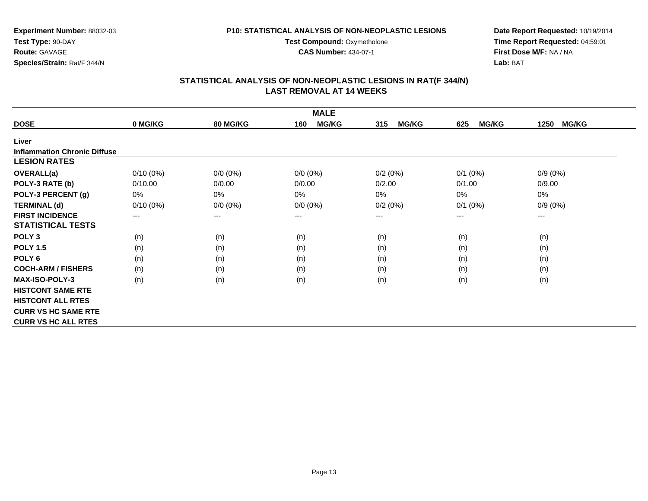**CAS Number:** 434-07-1

**Experiment Number:** 88032-03**Test Type:** 90-DAY**Route:** GAVAGE**Species/Strain:** Rat/F 344/N

**Date Report Requested:** 10/19/2014**Time Report Requested:** 04:59:01**First Dose M/F:** NA / NA**Lab:** BAT

| <b>MALE</b>                         |             |                 |                     |                     |                     |                      |  |
|-------------------------------------|-------------|-----------------|---------------------|---------------------|---------------------|----------------------|--|
| <b>DOSE</b>                         | 0 MG/KG     | <b>80 MG/KG</b> | <b>MG/KG</b><br>160 | <b>MG/KG</b><br>315 | <b>MG/KG</b><br>625 | <b>MG/KG</b><br>1250 |  |
| Liver                               |             |                 |                     |                     |                     |                      |  |
| <b>Inflammation Chronic Diffuse</b> |             |                 |                     |                     |                     |                      |  |
| <b>LESION RATES</b>                 |             |                 |                     |                     |                     |                      |  |
| <b>OVERALL(a)</b>                   | $0/10(0\%)$ | $0/0 (0\%)$     | $0/0 (0\%)$         | 0/2(0%)             | $0/1$ (0%)          | $0/9(0\%)$           |  |
| POLY-3 RATE (b)                     | 0/10.00     | 0/0.00          | 0/0.00              | 0/2.00              | 0/1.00              | 0/9.00               |  |
| POLY-3 PERCENT (g)                  | 0%          | 0%              | 0%                  | 0%                  | $0\%$               | 0%                   |  |
| <b>TERMINAL (d)</b>                 | $0/10(0\%)$ | $0/0 (0\%)$     | $0/0 (0\%)$         | 0/2(0%)             | $0/1$ (0%)          | $0/9(0\%)$           |  |
| <b>FIRST INCIDENCE</b>              | $--$        | $--$            | ---                 | ---                 | ---                 | ---                  |  |
| <b>STATISTICAL TESTS</b>            |             |                 |                     |                     |                     |                      |  |
| POLY <sub>3</sub>                   | (n)         | (n)             | (n)                 | (n)                 | (n)                 | (n)                  |  |
| <b>POLY 1.5</b>                     | (n)         | (n)             | (n)                 | (n)                 | (n)                 | (n)                  |  |
| POLY <sub>6</sub>                   | (n)         | (n)             | (n)                 | (n)                 | (n)                 | (n)                  |  |
| <b>COCH-ARM / FISHERS</b>           | (n)         | (n)             | (n)                 | (n)                 | (n)                 | (n)                  |  |
| <b>MAX-ISO-POLY-3</b>               | (n)         | (n)             | (n)                 | (n)                 | (n)                 | (n)                  |  |
| <b>HISTCONT SAME RTE</b>            |             |                 |                     |                     |                     |                      |  |
| <b>HISTCONT ALL RTES</b>            |             |                 |                     |                     |                     |                      |  |
| <b>CURR VS HC SAME RTE</b>          |             |                 |                     |                     |                     |                      |  |
| <b>CURR VS HC ALL RTES</b>          |             |                 |                     |                     |                     |                      |  |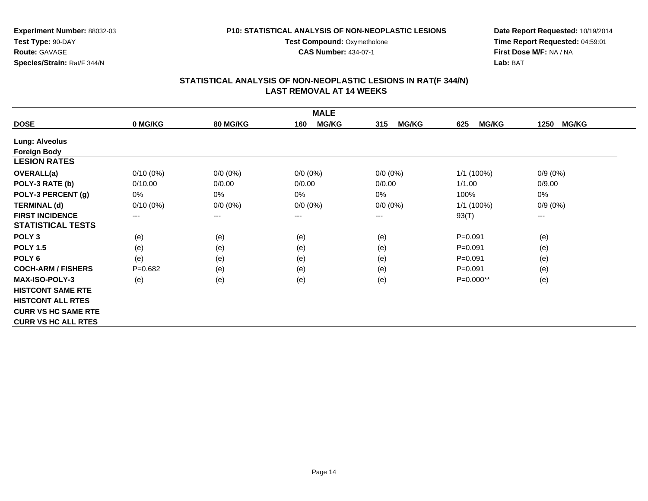**Test Compound: Oxymetholone CAS Number:** 434-07-1

**Experiment Number:** 88032-03**Test Type:** 90-DAY**Route:** GAVAGE**Species/Strain:** Rat/F 344/N

**Date Report Requested:** 10/19/2014**Time Report Requested:** 04:59:01**First Dose M/F:** NA / NA**Lab:** BAT

| <b>MALE</b>                |             |                 |                     |                     |                     |                      |  |
|----------------------------|-------------|-----------------|---------------------|---------------------|---------------------|----------------------|--|
| <b>DOSE</b>                | 0 MG/KG     | <b>80 MG/KG</b> | <b>MG/KG</b><br>160 | 315<br><b>MG/KG</b> | <b>MG/KG</b><br>625 | <b>MG/KG</b><br>1250 |  |
| <b>Lung: Alveolus</b>      |             |                 |                     |                     |                     |                      |  |
| <b>Foreign Body</b>        |             |                 |                     |                     |                     |                      |  |
| <b>LESION RATES</b>        |             |                 |                     |                     |                     |                      |  |
| <b>OVERALL(a)</b>          | $0/10(0\%)$ | $0/0 (0\%)$     | $0/0 (0\%)$         | $0/0 (0\%)$         | 1/1(100%)           | $0/9(0\%)$           |  |
| POLY-3 RATE (b)            | 0/10.00     | 0/0.00          | 0/0.00              | 0/0.00              | 1/1.00              | 0/9.00               |  |
| POLY-3 PERCENT (g)         | 0%          | 0%              | 0%                  | 0%                  | 100%                | 0%                   |  |
| <b>TERMINAL (d)</b>        | $0/10(0\%)$ | $0/0 (0\%)$     | $0/0 (0\%)$         | $0/0 (0\%)$         | 1/1(100%)           | $0/9(0\%)$           |  |
| <b>FIRST INCIDENCE</b>     | ---         | ---             | ---                 | ---                 | 93(T)               | $--$                 |  |
| <b>STATISTICAL TESTS</b>   |             |                 |                     |                     |                     |                      |  |
| POLY <sub>3</sub>          | (e)         | (e)             | (e)                 | (e)                 | $P = 0.091$         | (e)                  |  |
| <b>POLY 1.5</b>            | (e)         | (e)             | (e)                 | (e)                 | $P = 0.091$         | (e)                  |  |
| POLY <sub>6</sub>          | (e)         | (e)             | (e)                 | (e)                 | $P = 0.091$         | (e)                  |  |
| <b>COCH-ARM / FISHERS</b>  | $P = 0.682$ | (e)             | (e)                 | (e)                 | $P = 0.091$         | (e)                  |  |
| <b>MAX-ISO-POLY-3</b>      | (e)         | (e)             | (e)                 | (e)                 | P=0.000**           | (e)                  |  |
| <b>HISTCONT SAME RTE</b>   |             |                 |                     |                     |                     |                      |  |
| <b>HISTCONT ALL RTES</b>   |             |                 |                     |                     |                     |                      |  |
| <b>CURR VS HC SAME RTE</b> |             |                 |                     |                     |                     |                      |  |
| <b>CURR VS HC ALL RTES</b> |             |                 |                     |                     |                     |                      |  |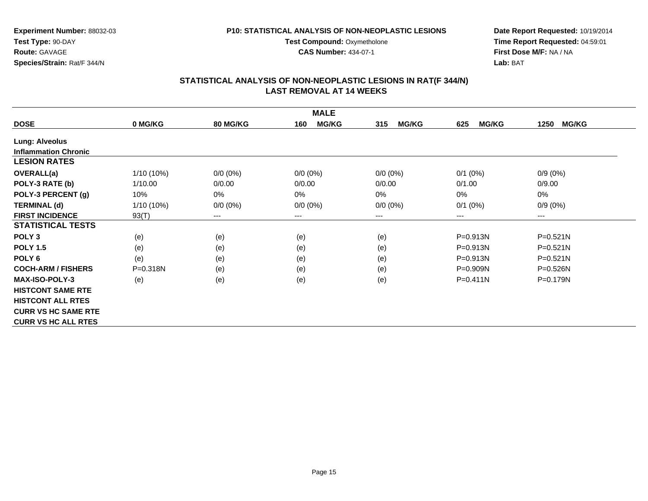**Test Compound: Oxymetholone CAS Number:** 434-07-1

**Experiment Number:** 88032-03**Test Type:** 90-DAY**Route:** GAVAGE**Species/Strain:** Rat/F 344/N

**Date Report Requested:** 10/19/2014**Time Report Requested:** 04:59:01**First Dose M/F:** NA / NA**Lab:** BAT

| <b>MALE</b>                 |              |                            |                     |                            |                     |                      |  |
|-----------------------------|--------------|----------------------------|---------------------|----------------------------|---------------------|----------------------|--|
| <b>DOSE</b>                 | 0 MG/KG      | <b>80 MG/KG</b>            | <b>MG/KG</b><br>160 | <b>MG/KG</b><br>315        | <b>MG/KG</b><br>625 | <b>MG/KG</b><br>1250 |  |
| <b>Lung: Alveolus</b>       |              |                            |                     |                            |                     |                      |  |
| <b>Inflammation Chronic</b> |              |                            |                     |                            |                     |                      |  |
| <b>LESION RATES</b>         |              |                            |                     |                            |                     |                      |  |
| OVERALL(a)                  | 1/10 (10%)   | $0/0 (0\%)$                | $0/0 (0\%)$         | $0/0 (0\%)$                | $0/1$ (0%)          | $0/9(0\%)$           |  |
| POLY-3 RATE (b)             | 1/10.00      | 0/0.00                     | 0/0.00              | 0/0.00                     | 0/1.00              | 0/9.00               |  |
| POLY-3 PERCENT (g)          | 10%          | 0%                         | $0\%$               | 0%                         | 0%                  | 0%                   |  |
| <b>TERMINAL (d)</b>         | 1/10 (10%)   | $0/0 (0\%)$                | $0/0 (0\%)$         | $0/0 (0\%)$                | $0/1$ (0%)          | $0/9(0\%)$           |  |
| <b>FIRST INCIDENCE</b>      | 93(T)        | $\qquad \qquad - \qquad -$ | ---                 | $\qquad \qquad - \qquad -$ | $---$               | ---                  |  |
| <b>STATISTICAL TESTS</b>    |              |                            |                     |                            |                     |                      |  |
| POLY <sub>3</sub>           | (e)          | (e)                        | (e)                 | (e)                        | $P = 0.913N$        | $P = 0.521N$         |  |
| <b>POLY 1.5</b>             | (e)          | (e)                        | (e)                 | (e)                        | $P = 0.913N$        | $P = 0.521N$         |  |
| POLY <sub>6</sub>           | (e)          | (e)                        | (e)                 | (e)                        | $P = 0.913N$        | $P = 0.521N$         |  |
| <b>COCH-ARM / FISHERS</b>   | $P = 0.318N$ | (e)                        | (e)                 | (e)                        | P=0.909N            | $P = 0.526N$         |  |
| <b>MAX-ISO-POLY-3</b>       | (e)          | (e)                        | (e)                 | (e)                        | $P = 0.411N$        | P=0.179N             |  |
| <b>HISTCONT SAME RTE</b>    |              |                            |                     |                            |                     |                      |  |
| <b>HISTCONT ALL RTES</b>    |              |                            |                     |                            |                     |                      |  |
| <b>CURR VS HC SAME RTE</b>  |              |                            |                     |                            |                     |                      |  |
| <b>CURR VS HC ALL RTES</b>  |              |                            |                     |                            |                     |                      |  |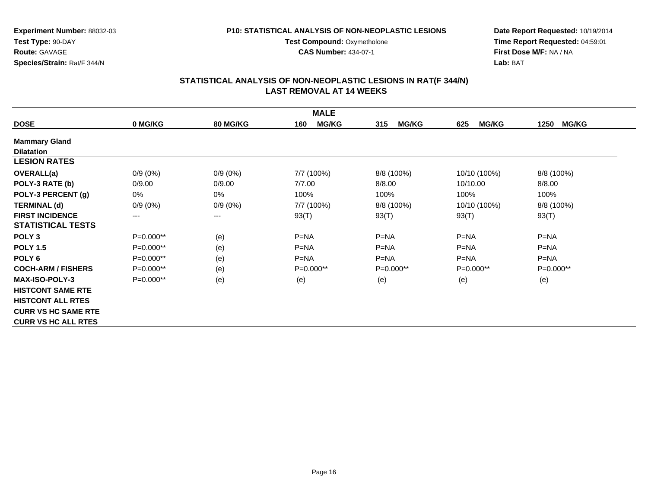**Test Compound: Oxymetholone CAS Number:** 434-07-1

**Experiment Number:** 88032-03**Test Type:** 90-DAY**Route:** GAVAGE**Species/Strain:** Rat/F 344/N

**Date Report Requested:** 10/19/2014**Time Report Requested:** 04:59:01**First Dose M/F:** NA / NA**Lab:** BAT

| <b>MALE</b>                |            |                 |                     |                     |                     |                      |  |
|----------------------------|------------|-----------------|---------------------|---------------------|---------------------|----------------------|--|
| <b>DOSE</b>                | 0 MG/KG    | <b>80 MG/KG</b> | <b>MG/KG</b><br>160 | <b>MG/KG</b><br>315 | <b>MG/KG</b><br>625 | <b>MG/KG</b><br>1250 |  |
| <b>Mammary Gland</b>       |            |                 |                     |                     |                     |                      |  |
| <b>Dilatation</b>          |            |                 |                     |                     |                     |                      |  |
| <b>LESION RATES</b>        |            |                 |                     |                     |                     |                      |  |
| <b>OVERALL(a)</b>          | $0/9(0\%)$ | $0/9(0\%)$      | 7/7 (100%)          | 8/8 (100%)          | 10/10 (100%)        | 8/8 (100%)           |  |
| POLY-3 RATE (b)            | 0/9.00     | 0/9.00          | 7/7.00              | 8/8.00              | 10/10.00            | 8/8.00               |  |
| POLY-3 PERCENT (g)         | $0\%$      | $0\%$           | 100%                | 100%                | 100%                | 100%                 |  |
| <b>TERMINAL (d)</b>        | $0/9(0\%)$ | $0/9(0\%)$      | 7/7 (100%)          | 8/8 (100%)          | 10/10 (100%)        | 8/8 (100%)           |  |
| <b>FIRST INCIDENCE</b>     | $---$      | $---$           | 93(T)               | 93(T)               | 93(T)               | 93(T)                |  |
| <b>STATISTICAL TESTS</b>   |            |                 |                     |                     |                     |                      |  |
| POLY <sub>3</sub>          | P=0.000**  | (e)             | $P = NA$            | $P = NA$            | $P = NA$            | $P = NA$             |  |
| <b>POLY 1.5</b>            | P=0.000**  | (e)             | $P=NA$              | $P=NA$              | $P=NA$              | $P=NA$               |  |
| POLY <sub>6</sub>          | P=0.000**  | (e)             | $P=NA$              | $P=NA$              | $P = NA$            | $P = NA$             |  |
| <b>COCH-ARM / FISHERS</b>  | P=0.000**  | (e)             | P=0.000**           | $P=0.000**$         | $P=0.000**$         | P=0.000**            |  |
| <b>MAX-ISO-POLY-3</b>      | P=0.000**  | (e)             | (e)                 | (e)                 | (e)                 | (e)                  |  |
| <b>HISTCONT SAME RTE</b>   |            |                 |                     |                     |                     |                      |  |
| <b>HISTCONT ALL RTES</b>   |            |                 |                     |                     |                     |                      |  |
| <b>CURR VS HC SAME RTE</b> |            |                 |                     |                     |                     |                      |  |
| <b>CURR VS HC ALL RTES</b> |            |                 |                     |                     |                     |                      |  |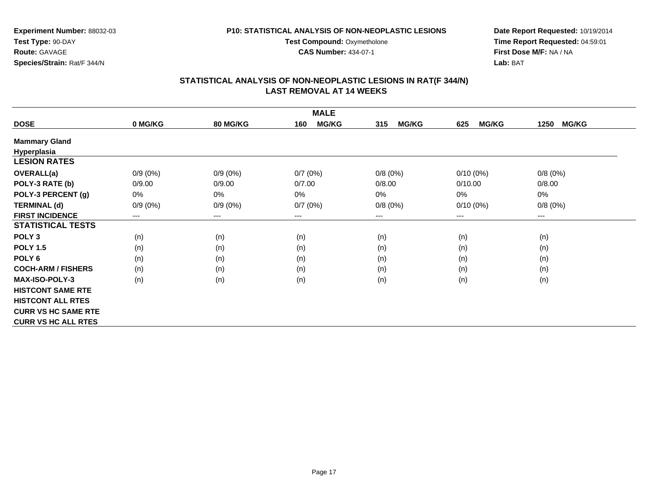**CAS Number:** 434-07-1

**Experiment Number:** 88032-03**Test Type:** 90-DAY**Route:** GAVAGE**Species/Strain:** Rat/F 344/N

**Date Report Requested:** 10/19/2014**Time Report Requested:** 04:59:01**First Dose M/F:** NA / NA**Lab:** BAT

| <b>MALE</b>                |            |            |                        |                     |                     |                      |  |  |
|----------------------------|------------|------------|------------------------|---------------------|---------------------|----------------------|--|--|
| <b>DOSE</b>                | 0 MG/KG    | 80 MG/KG   | <b>MG/KG</b><br>160    | <b>MG/KG</b><br>315 | <b>MG/KG</b><br>625 | <b>MG/KG</b><br>1250 |  |  |
| <b>Mammary Gland</b>       |            |            |                        |                     |                     |                      |  |  |
| Hyperplasia                |            |            |                        |                     |                     |                      |  |  |
| <b>LESION RATES</b>        |            |            |                        |                     |                     |                      |  |  |
| <b>OVERALL(a)</b>          | $0/9(0\%)$ | $0/9(0\%)$ | 0/7(0%)                | 0/8(0%)             | $0/10(0\%)$         | 0/8(0%)              |  |  |
| POLY-3 RATE (b)            | 0/9.00     | 0/9.00     | 0/7.00                 | 0/8.00              | 0/10.00             | 0/8.00               |  |  |
| POLY-3 PERCENT (g)         | $0\%$      | $0\%$      | 0%                     | 0%                  | 0%                  | 0%                   |  |  |
| <b>TERMINAL (d)</b>        | $0/9(0\%)$ | $0/9(0\%)$ | 0/7(0%)                | 0/8(0%)             | $0/10(0\%)$         | 0/8(0%)              |  |  |
| <b>FIRST INCIDENCE</b>     | ---        | $---$      | $\qquad \qquad \cdots$ | ---                 | $---$               | $---$                |  |  |
| <b>STATISTICAL TESTS</b>   |            |            |                        |                     |                     |                      |  |  |
| POLY <sub>3</sub>          | (n)        | (n)        | (n)                    | (n)                 | (n)                 | (n)                  |  |  |
| <b>POLY 1.5</b>            | (n)        | (n)        | (n)                    | (n)                 | (n)                 | (n)                  |  |  |
| POLY <sub>6</sub>          | (n)        | (n)        | (n)                    | (n)                 | (n)                 | (n)                  |  |  |
| <b>COCH-ARM / FISHERS</b>  | (n)        | (n)        | (n)                    | (n)                 | (n)                 | (n)                  |  |  |
| <b>MAX-ISO-POLY-3</b>      | (n)        | (n)        | (n)                    | (n)                 | (n)                 | (n)                  |  |  |
| <b>HISTCONT SAME RTE</b>   |            |            |                        |                     |                     |                      |  |  |
| <b>HISTCONT ALL RTES</b>   |            |            |                        |                     |                     |                      |  |  |
| <b>CURR VS HC SAME RTE</b> |            |            |                        |                     |                     |                      |  |  |
| <b>CURR VS HC ALL RTES</b> |            |            |                        |                     |                     |                      |  |  |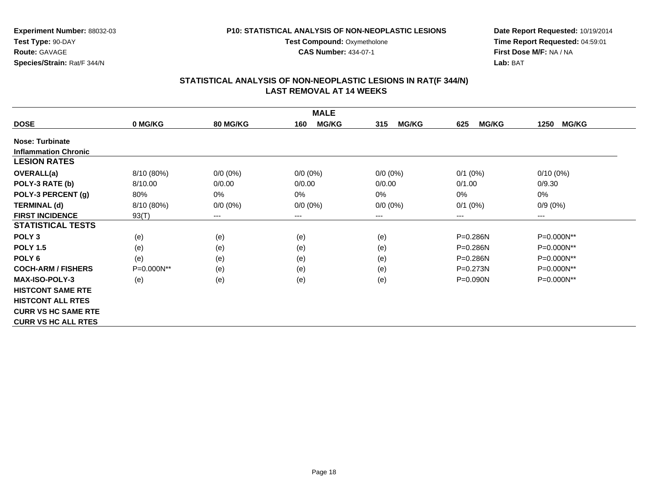**Test Compound: Oxymetholone CAS Number:** 434-07-1

**Experiment Number:** 88032-03**Test Type:** 90-DAY**Route:** GAVAGE**Species/Strain:** Rat/F 344/N

**Date Report Requested:** 10/19/2014**Time Report Requested:** 04:59:01**First Dose M/F:** NA / NA**Lab:** BAT

| <b>MALE</b>                 |            |                            |                            |                     |                     |                      |  |
|-----------------------------|------------|----------------------------|----------------------------|---------------------|---------------------|----------------------|--|
| <b>DOSE</b>                 | 0 MG/KG    | <b>80 MG/KG</b>            | <b>MG/KG</b><br>160        | <b>MG/KG</b><br>315 | <b>MG/KG</b><br>625 | <b>MG/KG</b><br>1250 |  |
| <b>Nose: Turbinate</b>      |            |                            |                            |                     |                     |                      |  |
| <b>Inflammation Chronic</b> |            |                            |                            |                     |                     |                      |  |
| <b>LESION RATES</b>         |            |                            |                            |                     |                     |                      |  |
| <b>OVERALL(a)</b>           | 8/10 (80%) | $0/0 (0\%)$                | $0/0 (0\%)$                | $0/0 (0\%)$         | $0/1$ (0%)          | $0/10(0\%)$          |  |
| POLY-3 RATE (b)             | 8/10.00    | 0/0.00                     | 0/0.00                     | 0/0.00              | 0/1.00              | 0/9.30               |  |
| POLY-3 PERCENT (g)          | 80%        | 0%                         | 0%                         | 0%                  | 0%                  | 0%                   |  |
| <b>TERMINAL (d)</b>         | 8/10 (80%) | $0/0 (0\%)$                | $0/0 (0\%)$                | $0/0 (0\%)$         | $0/1$ $(0%)$        | $0/9(0\%)$           |  |
| <b>FIRST INCIDENCE</b>      | 93(T)      | $\qquad \qquad - \qquad -$ | $\qquad \qquad - \qquad -$ | $---$               | ---                 | ---                  |  |
| <b>STATISTICAL TESTS</b>    |            |                            |                            |                     |                     |                      |  |
| POLY <sub>3</sub>           | (e)        | (e)                        | (e)                        | (e)                 | $P = 0.286N$        | P=0.000N**           |  |
| <b>POLY 1.5</b>             | (e)        | (e)                        | (e)                        | (e)                 | P=0.286N            | P=0.000N**           |  |
| POLY <sub>6</sub>           | (e)        | (e)                        | (e)                        | (e)                 | $P = 0.286N$        | P=0.000N**           |  |
| <b>COCH-ARM / FISHERS</b>   | P=0.000N** | (e)                        | (e)                        | (e)                 | $P = 0.273N$        | P=0.000N**           |  |
| <b>MAX-ISO-POLY-3</b>       | (e)        | (e)                        | (e)                        | (e)                 | P=0.090N            | P=0.000N**           |  |
| <b>HISTCONT SAME RTE</b>    |            |                            |                            |                     |                     |                      |  |
| <b>HISTCONT ALL RTES</b>    |            |                            |                            |                     |                     |                      |  |
| <b>CURR VS HC SAME RTE</b>  |            |                            |                            |                     |                     |                      |  |
| <b>CURR VS HC ALL RTES</b>  |            |                            |                            |                     |                     |                      |  |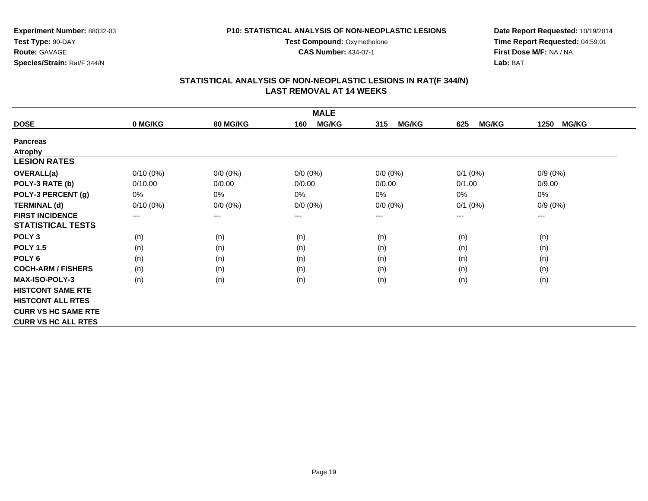**CAS Number:** 434-07-1

**Experiment Number:** 88032-03**Test Type:** 90-DAY**Route:** GAVAGE**Species/Strain:** Rat/F 344/N

**Date Report Requested:** 10/19/2014**Time Report Requested:** 04:59:01**First Dose M/F:** NA / NA**Lab:** BAT

| <b>MALE</b>                |                            |             |                        |                     |                     |                      |  |  |
|----------------------------|----------------------------|-------------|------------------------|---------------------|---------------------|----------------------|--|--|
| <b>DOSE</b>                | 0 MG/KG                    | 80 MG/KG    | <b>MG/KG</b><br>160    | <b>MG/KG</b><br>315 | <b>MG/KG</b><br>625 | <b>MG/KG</b><br>1250 |  |  |
| <b>Pancreas</b>            |                            |             |                        |                     |                     |                      |  |  |
| <b>Atrophy</b>             |                            |             |                        |                     |                     |                      |  |  |
| <b>LESION RATES</b>        |                            |             |                        |                     |                     |                      |  |  |
| OVERALL(a)                 | $0/10(0\%)$                | $0/0 (0\%)$ | $0/0 (0\%)$            | $0/0 (0\%)$         | $0/1$ (0%)          | $0/9(0\%)$           |  |  |
| POLY-3 RATE (b)            | 0/10.00                    | 0/0.00      | 0/0.00                 | 0/0.00              | 0/1.00              | 0/9.00               |  |  |
| POLY-3 PERCENT (g)         | $0\%$                      | 0%          | 0%                     | 0%                  | 0%                  | 0%                   |  |  |
| <b>TERMINAL (d)</b>        | $0/10(0\%)$                | $0/0 (0\%)$ | $0/0 (0\%)$            | $0/0 (0\%)$         | $0/1$ $(0%)$        | $0/9(0\%)$           |  |  |
| <b>FIRST INCIDENCE</b>     | $\qquad \qquad - \qquad -$ | ---         | $\qquad \qquad \cdots$ | ---                 | ---                 | $---$                |  |  |
| <b>STATISTICAL TESTS</b>   |                            |             |                        |                     |                     |                      |  |  |
| POLY <sub>3</sub>          | (n)                        | (n)         | (n)                    | (n)                 | (n)                 | (n)                  |  |  |
| <b>POLY 1.5</b>            | (n)                        | (n)         | (n)                    | (n)                 | (n)                 | (n)                  |  |  |
| POLY <sub>6</sub>          | (n)                        | (n)         | (n)                    | (n)                 | (n)                 | (n)                  |  |  |
| <b>COCH-ARM / FISHERS</b>  | (n)                        | (n)         | (n)                    | (n)                 | (n)                 | (n)                  |  |  |
| MAX-ISO-POLY-3             | (n)                        | (n)         | (n)                    | (n)                 | (n)                 | (n)                  |  |  |
| <b>HISTCONT SAME RTE</b>   |                            |             |                        |                     |                     |                      |  |  |
| <b>HISTCONT ALL RTES</b>   |                            |             |                        |                     |                     |                      |  |  |
| <b>CURR VS HC SAME RTE</b> |                            |             |                        |                     |                     |                      |  |  |
| <b>CURR VS HC ALL RTES</b> |                            |             |                        |                     |                     |                      |  |  |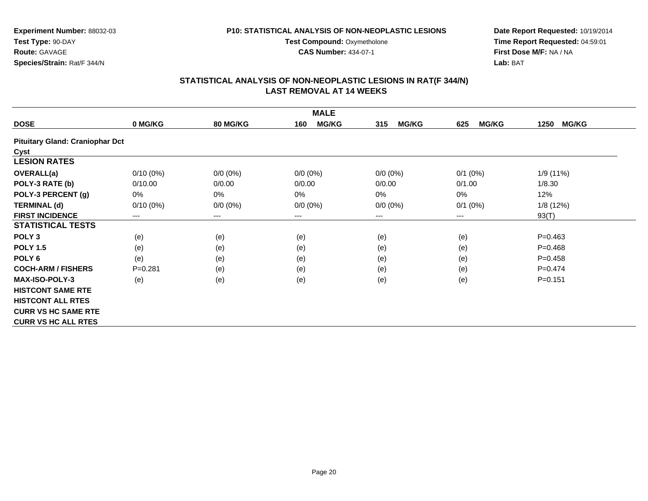#### **P10: STATISTICAL ANALYSIS OF NON-NEOPLASTIC LESIONS**

**Test Compound: Oxymetholone** 

**CAS Number:** 434-07-1

**Date Report Requested:** 10/19/2014**Time Report Requested:** 04:59:01**First Dose M/F:** NA / NA**Lab:** BAT

| <b>MALE</b>                            |             |                            |                     |                     |                     |                      |  |
|----------------------------------------|-------------|----------------------------|---------------------|---------------------|---------------------|----------------------|--|
| <b>DOSE</b>                            | 0 MG/KG     | <b>80 MG/KG</b>            | <b>MG/KG</b><br>160 | <b>MG/KG</b><br>315 | <b>MG/KG</b><br>625 | <b>MG/KG</b><br>1250 |  |
| <b>Pituitary Gland: Craniophar Dct</b> |             |                            |                     |                     |                     |                      |  |
| Cyst                                   |             |                            |                     |                     |                     |                      |  |
| <b>LESION RATES</b>                    |             |                            |                     |                     |                     |                      |  |
| <b>OVERALL(a)</b>                      | $0/10(0\%)$ | $0/0 (0\%)$                | $0/0 (0\%)$         | $0/0 (0\%)$         | $0/1$ (0%)          | 1/9 (11%)            |  |
| POLY-3 RATE (b)                        | 0/10.00     | 0/0.00                     | 0/0.00              | 0/0.00              | 0/1.00              | 1/8.30               |  |
| POLY-3 PERCENT (g)                     | 0%          | 0%                         | 0%                  | 0%                  | 0%                  | 12%                  |  |
| <b>TERMINAL (d)</b>                    | $0/10(0\%)$ | $0/0 (0\%)$                | $0/0 (0\%)$         | $0/0 (0\%)$         | $0/1$ (0%)          | 1/8(12%)             |  |
| <b>FIRST INCIDENCE</b>                 | ---         | $\qquad \qquad - \qquad -$ | $---$               | $---$               | ---                 | 93(T)                |  |
| <b>STATISTICAL TESTS</b>               |             |                            |                     |                     |                     |                      |  |
| POLY <sub>3</sub>                      | (e)         | (e)                        | (e)                 | (e)                 | (e)                 | $P=0.463$            |  |
| <b>POLY 1.5</b>                        | (e)         | (e)                        | (e)                 | (e)                 | (e)                 | $P = 0.468$          |  |
| POLY <sub>6</sub>                      | (e)         | (e)                        | (e)                 | (e)                 | (e)                 | $P=0.458$            |  |
| <b>COCH-ARM / FISHERS</b>              | $P = 0.281$ | (e)                        | (e)                 | (e)                 | (e)                 | $P=0.474$            |  |
| <b>MAX-ISO-POLY-3</b>                  | (e)         | (e)                        | (e)                 | (e)                 | (e)                 | $P=0.151$            |  |
| <b>HISTCONT SAME RTE</b>               |             |                            |                     |                     |                     |                      |  |
| <b>HISTCONT ALL RTES</b>               |             |                            |                     |                     |                     |                      |  |
| <b>CURR VS HC SAME RTE</b>             |             |                            |                     |                     |                     |                      |  |
| <b>CURR VS HC ALL RTES</b>             |             |                            |                     |                     |                     |                      |  |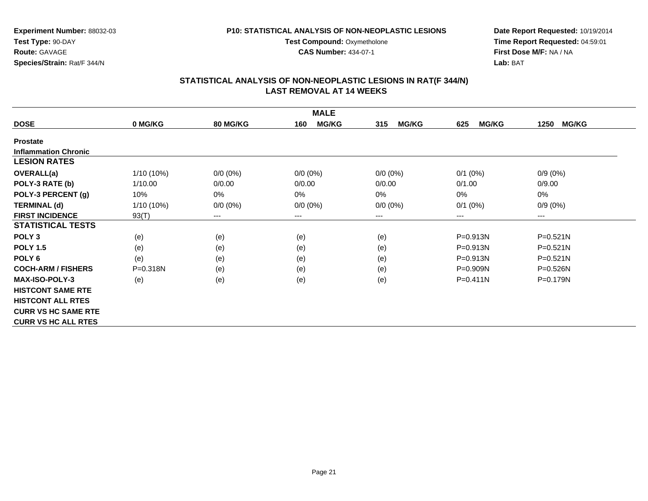**Test Compound: Oxymetholone CAS Number:** 434-07-1

**Experiment Number:** 88032-03**Test Type:** 90-DAY**Route:** GAVAGE**Species/Strain:** Rat/F 344/N

**Date Report Requested:** 10/19/2014**Time Report Requested:** 04:59:01**First Dose M/F:** NA / NA**Lab:** BAT

| <b>MALE</b>                 |              |                            |                            |                     |                     |                      |  |
|-----------------------------|--------------|----------------------------|----------------------------|---------------------|---------------------|----------------------|--|
| <b>DOSE</b>                 | 0 MG/KG      | <b>80 MG/KG</b>            | <b>MG/KG</b><br>160        | <b>MG/KG</b><br>315 | <b>MG/KG</b><br>625 | <b>MG/KG</b><br>1250 |  |
| <b>Prostate</b>             |              |                            |                            |                     |                     |                      |  |
| <b>Inflammation Chronic</b> |              |                            |                            |                     |                     |                      |  |
| <b>LESION RATES</b>         |              |                            |                            |                     |                     |                      |  |
| OVERALL(a)                  | 1/10 (10%)   | $0/0 (0\%)$                | $0/0 (0\%)$                | $0/0 (0\%)$         | $0/1$ (0%)          | $0/9(0\%)$           |  |
| POLY-3 RATE (b)             | 1/10.00      | 0/0.00                     | 0/0.00                     | 0/0.00              | 0/1.00              | 0/9.00               |  |
| POLY-3 PERCENT (g)          | 10%          | 0%                         | 0%                         | 0%                  | 0%                  | 0%                   |  |
| <b>TERMINAL (d)</b>         | $1/10(10\%)$ | $0/0 (0\%)$                | $0/0 (0\%)$                | $0/0 (0\%)$         | $0/1$ $(0%)$        | $0/9(0\%)$           |  |
| <b>FIRST INCIDENCE</b>      | 93(T)        | $\qquad \qquad - \qquad -$ | $\qquad \qquad - \qquad -$ | $---$               | ---                 | ---                  |  |
| <b>STATISTICAL TESTS</b>    |              |                            |                            |                     |                     |                      |  |
| POLY <sub>3</sub>           | (e)          | (e)                        | (e)                        | (e)                 | $P = 0.913N$        | $P = 0.521N$         |  |
| <b>POLY 1.5</b>             | (e)          | (e)                        | (e)                        | (e)                 | P=0.913N            | $P = 0.521N$         |  |
| POLY <sub>6</sub>           | (e)          | (e)                        | (e)                        | (e)                 | $P = 0.913N$        | $P=0.521N$           |  |
| <b>COCH-ARM / FISHERS</b>   | $P = 0.318N$ | (e)                        | (e)                        | (e)                 | $P = 0.909N$        | $P = 0.526N$         |  |
| <b>MAX-ISO-POLY-3</b>       | (e)          | (e)                        | (e)                        | (e)                 | $P = 0.411N$        | P=0.179N             |  |
| <b>HISTCONT SAME RTE</b>    |              |                            |                            |                     |                     |                      |  |
| <b>HISTCONT ALL RTES</b>    |              |                            |                            |                     |                     |                      |  |
| <b>CURR VS HC SAME RTE</b>  |              |                            |                            |                     |                     |                      |  |
| <b>CURR VS HC ALL RTES</b>  |              |                            |                            |                     |                     |                      |  |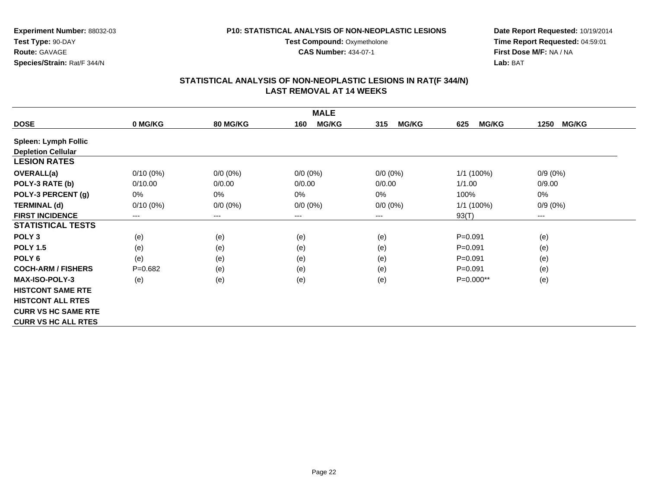**Test Compound: Oxymetholone CAS Number:** 434-07-1

**Experiment Number:** 88032-03**Test Type:** 90-DAY**Route:** GAVAGE**Species/Strain:** Rat/F 344/N

**Date Report Requested:** 10/19/2014**Time Report Requested:** 04:59:01**First Dose M/F:** NA / NA**Lab:** BAT

| <b>MALE</b>                 |             |                 |                     |                     |                     |                            |  |
|-----------------------------|-------------|-----------------|---------------------|---------------------|---------------------|----------------------------|--|
| <b>DOSE</b>                 | 0 MG/KG     | <b>80 MG/KG</b> | <b>MG/KG</b><br>160 | <b>MG/KG</b><br>315 | <b>MG/KG</b><br>625 | <b>MG/KG</b><br>1250       |  |
| <b>Spleen: Lymph Follic</b> |             |                 |                     |                     |                     |                            |  |
| <b>Depletion Cellular</b>   |             |                 |                     |                     |                     |                            |  |
| <b>LESION RATES</b>         |             |                 |                     |                     |                     |                            |  |
| <b>OVERALL(a)</b>           | $0/10(0\%)$ | $0/0 (0\%)$     | $0/0 (0\%)$         | $0/0 (0\%)$         | 1/1 (100%)          | $0/9(0\%)$                 |  |
| POLY-3 RATE (b)             | 0/10.00     | 0/0.00          | 0/0.00              | 0/0.00              | 1/1.00              | 0/9.00                     |  |
| POLY-3 PERCENT (g)          | 0%          | $0\%$           | 0%                  | 0%                  | 100%                | 0%                         |  |
| <b>TERMINAL (d)</b>         | $0/10(0\%)$ | $0/0 (0\%)$     | $0/0 (0\%)$         | $0/0 (0\%)$         | 1/1 (100%)          | $0/9(0\%)$                 |  |
| <b>FIRST INCIDENCE</b>      | ---         | ---             | ---                 | ---                 | 93(T)               | $\qquad \qquad - \qquad -$ |  |
| <b>STATISTICAL TESTS</b>    |             |                 |                     |                     |                     |                            |  |
| POLY <sub>3</sub>           | (e)         | (e)             | (e)                 | (e)                 | $P = 0.091$         | (e)                        |  |
| <b>POLY 1.5</b>             | (e)         | (e)             | (e)                 | (e)                 | $P = 0.091$         | (e)                        |  |
| POLY <sub>6</sub>           | (e)         | (e)             | (e)                 | (e)                 | $P = 0.091$         | (e)                        |  |
| <b>COCH-ARM / FISHERS</b>   | $P = 0.682$ | (e)             | (e)                 | (e)                 | $P = 0.091$         | (e)                        |  |
| <b>MAX-ISO-POLY-3</b>       | (e)         | (e)             | (e)                 | (e)                 | P=0.000**           | (e)                        |  |
| <b>HISTCONT SAME RTE</b>    |             |                 |                     |                     |                     |                            |  |
| <b>HISTCONT ALL RTES</b>    |             |                 |                     |                     |                     |                            |  |
| <b>CURR VS HC SAME RTE</b>  |             |                 |                     |                     |                     |                            |  |
| <b>CURR VS HC ALL RTES</b>  |             |                 |                     |                     |                     |                            |  |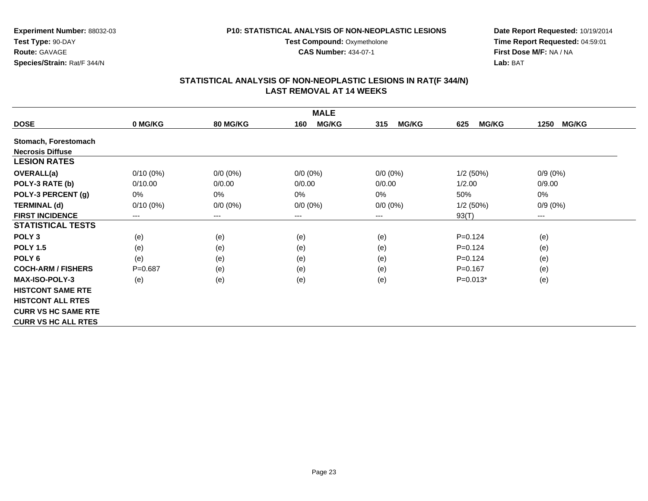#### **P10: STATISTICAL ANALYSIS OF NON-NEOPLASTIC LESIONS**

**Test Compound: Oxymetholone CAS Number:** 434-07-1

**Date Report Requested:** 10/19/2014**Time Report Requested:** 04:59:01**First Dose M/F:** NA / NA**Lab:** BAT

| <b>MALE</b>                |             |                 |                        |                     |                     |                      |  |
|----------------------------|-------------|-----------------|------------------------|---------------------|---------------------|----------------------|--|
| <b>DOSE</b>                | 0 MG/KG     | <b>80 MG/KG</b> | <b>MG/KG</b><br>160    | <b>MG/KG</b><br>315 | <b>MG/KG</b><br>625 | <b>MG/KG</b><br>1250 |  |
| Stomach, Forestomach       |             |                 |                        |                     |                     |                      |  |
| <b>Necrosis Diffuse</b>    |             |                 |                        |                     |                     |                      |  |
| <b>LESION RATES</b>        |             |                 |                        |                     |                     |                      |  |
| <b>OVERALL(a)</b>          | $0/10(0\%)$ | $0/0 (0\%)$     | $0/0 (0\%)$            | $0/0 (0\%)$         | 1/2(50%)            | $0/9(0\%)$           |  |
| POLY-3 RATE (b)            | 0/10.00     | 0/0.00          | 0/0.00                 | 0/0.00              | 1/2.00              | 0/9.00               |  |
| POLY-3 PERCENT (g)         | 0%          | 0%              | 0%                     | 0%                  | 50%                 | 0%                   |  |
| <b>TERMINAL (d)</b>        | $0/10(0\%)$ | $0/0 (0\%)$     | $0/0 (0\%)$            | $0/0 (0\%)$         | $1/2$ (50%)         | $0/9(0\%)$           |  |
| <b>FIRST INCIDENCE</b>     | ---         | $--$            | $\qquad \qquad \cdots$ | ---                 | 93(T)               | ---                  |  |
| <b>STATISTICAL TESTS</b>   |             |                 |                        |                     |                     |                      |  |
| POLY <sub>3</sub>          | (e)         | (e)             | (e)                    | (e)                 | $P = 0.124$         | (e)                  |  |
| <b>POLY 1.5</b>            | (e)         | (e)             | (e)                    | (e)                 | $P=0.124$           | (e)                  |  |
| POLY <sub>6</sub>          | (e)         | (e)             | (e)                    | (e)                 | $P = 0.124$         | (e)                  |  |
| <b>COCH-ARM / FISHERS</b>  | $P=0.687$   | (e)             | (e)                    | (e)                 | $P = 0.167$         | (e)                  |  |
| <b>MAX-ISO-POLY-3</b>      | (e)         | (e)             | (e)                    | (e)                 | $P=0.013*$          | (e)                  |  |
| <b>HISTCONT SAME RTE</b>   |             |                 |                        |                     |                     |                      |  |
| <b>HISTCONT ALL RTES</b>   |             |                 |                        |                     |                     |                      |  |
| <b>CURR VS HC SAME RTE</b> |             |                 |                        |                     |                     |                      |  |
| <b>CURR VS HC ALL RTES</b> |             |                 |                        |                     |                     |                      |  |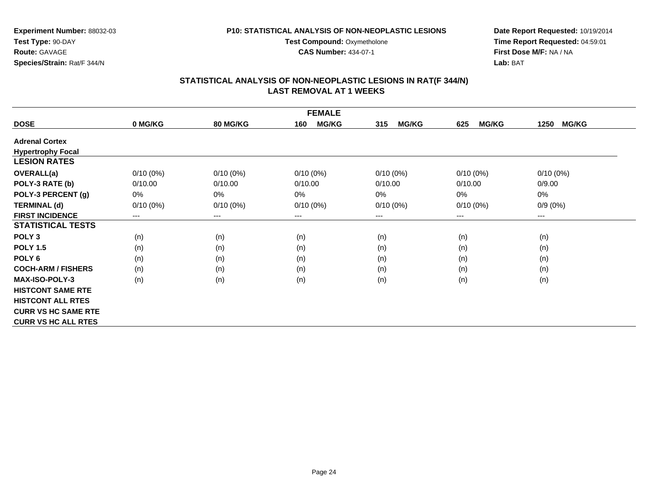**Test Compound: Oxymetholone CAS Number:** 434-07-1

**Experiment Number:** 88032-03**Test Type:** 90-DAY**Route:** GAVAGE**Species/Strain:** Rat/F 344/N

**Date Report Requested:** 10/19/2014**Time Report Requested:** 04:59:01**First Dose M/F:** NA / NA**Lab:** BAT

| <b>FEMALE</b>              |             |                 |                     |                     |                     |                      |  |
|----------------------------|-------------|-----------------|---------------------|---------------------|---------------------|----------------------|--|
| <b>DOSE</b>                | 0 MG/KG     | <b>80 MG/KG</b> | <b>MG/KG</b><br>160 | <b>MG/KG</b><br>315 | <b>MG/KG</b><br>625 | <b>MG/KG</b><br>1250 |  |
| <b>Adrenal Cortex</b>      |             |                 |                     |                     |                     |                      |  |
| <b>Hypertrophy Focal</b>   |             |                 |                     |                     |                     |                      |  |
| <b>LESION RATES</b>        |             |                 |                     |                     |                     |                      |  |
| <b>OVERALL(a)</b>          | $0/10(0\%)$ | $0/10(0\%)$     | $0/10(0\%)$         | $0/10(0\%)$         | $0/10(0\%)$         | $0/10(0\%)$          |  |
| POLY-3 RATE (b)            | 0/10.00     | 0/10.00         | 0/10.00             | 0/10.00             | 0/10.00             | 0/9.00               |  |
| POLY-3 PERCENT (g)         | 0%          | 0%              | 0%                  | 0%                  | 0%                  | 0%                   |  |
| <b>TERMINAL (d)</b>        | $0/10(0\%)$ | $0/10(0\%)$     | $0/10(0\%)$         | $0/10(0\%)$         | $0/10(0\%)$         | $0/9(0\%)$           |  |
| <b>FIRST INCIDENCE</b>     | ---         | $---$           | $--$                | ---                 | ---                 | ---                  |  |
| <b>STATISTICAL TESTS</b>   |             |                 |                     |                     |                     |                      |  |
| POLY <sub>3</sub>          | (n)         | (n)             | (n)                 | (n)                 | (n)                 | (n)                  |  |
| <b>POLY 1.5</b>            | (n)         | (n)             | (n)                 | (n)                 | (n)                 | (n)                  |  |
| POLY <sub>6</sub>          | (n)         | (n)             | (n)                 | (n)                 | (n)                 | (n)                  |  |
| <b>COCH-ARM / FISHERS</b>  | (n)         | (n)             | (n)                 | (n)                 | (n)                 | (n)                  |  |
| <b>MAX-ISO-POLY-3</b>      | (n)         | (n)             | (n)                 | (n)                 | (n)                 | (n)                  |  |
| <b>HISTCONT SAME RTE</b>   |             |                 |                     |                     |                     |                      |  |
| <b>HISTCONT ALL RTES</b>   |             |                 |                     |                     |                     |                      |  |
| <b>CURR VS HC SAME RTE</b> |             |                 |                     |                     |                     |                      |  |
| <b>CURR VS HC ALL RTES</b> |             |                 |                     |                     |                     |                      |  |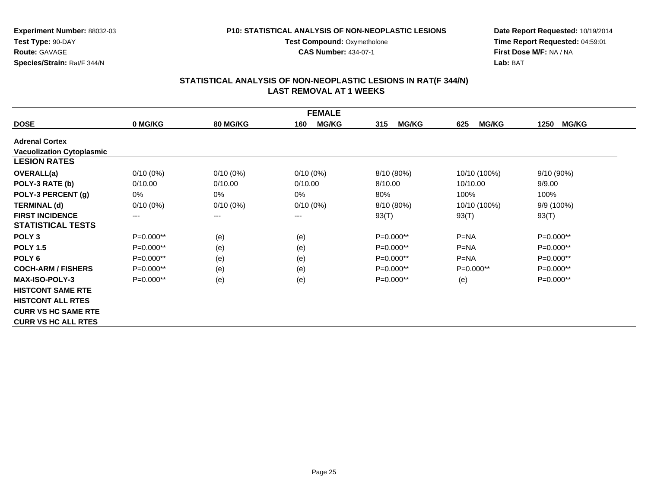#### **P10: STATISTICAL ANALYSIS OF NON-NEOPLASTIC LESIONS**

**Test Compound: Oxymetholone** 

**CAS Number:** 434-07-1

**Date Report Requested:** 10/19/2014**Time Report Requested:** 04:59:01**First Dose M/F:** NA / NA**Lab:** BAT

| <b>FEMALE</b>                    |             |                            |                     |                     |                     |                      |  |  |
|----------------------------------|-------------|----------------------------|---------------------|---------------------|---------------------|----------------------|--|--|
| <b>DOSE</b>                      | 0 MG/KG     | <b>80 MG/KG</b>            | <b>MG/KG</b><br>160 | <b>MG/KG</b><br>315 | <b>MG/KG</b><br>625 | <b>MG/KG</b><br>1250 |  |  |
| <b>Adrenal Cortex</b>            |             |                            |                     |                     |                     |                      |  |  |
| <b>Vacuolization Cytoplasmic</b> |             |                            |                     |                     |                     |                      |  |  |
| <b>LESION RATES</b>              |             |                            |                     |                     |                     |                      |  |  |
| <b>OVERALL(a)</b>                | $0/10(0\%)$ | $0/10(0\%)$                | $0/10(0\%)$         | 8/10 (80%)          | 10/10 (100%)        | 9/10 (90%)           |  |  |
| POLY-3 RATE (b)                  | 0/10.00     | 0/10.00                    | 0/10.00             | 8/10.00             | 10/10.00            | 9/9.00               |  |  |
| POLY-3 PERCENT (g)               | 0%          | $0\%$                      | 0%                  | 80%                 | 100%                | 100%                 |  |  |
| <b>TERMINAL (d)</b>              | $0/10(0\%)$ | $0/10(0\%)$                | $0/10(0\%)$         | 8/10 (80%)          | 10/10 (100%)        | 9/9 (100%)           |  |  |
| <b>FIRST INCIDENCE</b>           | ---         | $\qquad \qquad - \qquad -$ | $---$               | 93(T)               | 93(T)               | 93(T)                |  |  |
| <b>STATISTICAL TESTS</b>         |             |                            |                     |                     |                     |                      |  |  |
| POLY <sub>3</sub>                | P=0.000**   | (e)                        | (e)                 | P=0.000**           | $P = NA$            | $P=0.000**$          |  |  |
| <b>POLY 1.5</b>                  | $P=0.000**$ | (e)                        | (e)                 | $P=0.000**$         | $P=NA$              | $P=0.000**$          |  |  |
| POLY <sub>6</sub>                | $P=0.000**$ | (e)                        | (e)                 | $P=0.000**$         | $P = NA$            | P=0.000**            |  |  |
| <b>COCH-ARM / FISHERS</b>        | $P=0.000**$ | (e)                        | (e)                 | $P=0.000**$         | $P=0.000**$         | $P=0.000**$          |  |  |
| <b>MAX-ISO-POLY-3</b>            | $P=0.000**$ | (e)                        | (e)                 | $P=0.000**$         | (e)                 | $P=0.000**$          |  |  |
| <b>HISTCONT SAME RTE</b>         |             |                            |                     |                     |                     |                      |  |  |
| <b>HISTCONT ALL RTES</b>         |             |                            |                     |                     |                     |                      |  |  |
| <b>CURR VS HC SAME RTE</b>       |             |                            |                     |                     |                     |                      |  |  |
| <b>CURR VS HC ALL RTES</b>       |             |                            |                     |                     |                     |                      |  |  |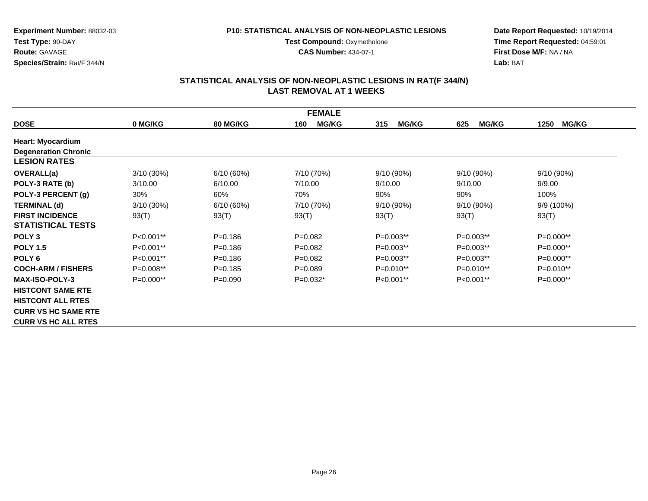#### **P10: STATISTICAL ANALYSIS OF NON-NEOPLASTIC LESIONS**

**Test Compound: Oxymetholone** 

**CAS Number:** 434-07-1

**Date Report Requested:** 10/19/2014**Time Report Requested:** 04:59:01**First Dose M/F:** NA / NA**Lab:** BAT

| <b>FEMALE</b>               |               |                 |                     |                     |                     |                      |  |  |
|-----------------------------|---------------|-----------------|---------------------|---------------------|---------------------|----------------------|--|--|
| <b>DOSE</b>                 | 0 MG/KG       | <b>80 MG/KG</b> | <b>MG/KG</b><br>160 | 315<br><b>MG/KG</b> | <b>MG/KG</b><br>625 | <b>MG/KG</b><br>1250 |  |  |
| <b>Heart: Myocardium</b>    |               |                 |                     |                     |                     |                      |  |  |
| <b>Degeneration Chronic</b> |               |                 |                     |                     |                     |                      |  |  |
| <b>LESION RATES</b>         |               |                 |                     |                     |                     |                      |  |  |
| <b>OVERALL(a)</b>           | 3/10 (30%)    | 6/10(60%)       | 7/10 (70%)          | 9/10 (90%)          | $9/10(90\%)$        | 9/10 (90%)           |  |  |
| POLY-3 RATE (b)             | 3/10.00       | 6/10.00         | 7/10.00             | 9/10.00             | 9/10.00             | 9/9.00               |  |  |
| POLY-3 PERCENT (g)          | 30%           | 60%             | 70%                 | 90%                 | 90%                 | 100%                 |  |  |
| <b>TERMINAL (d)</b>         | $3/10(30\%)$  | 6/10(60%)       | 7/10 (70%)          | $9/10(90\%)$        | $9/10(90\%)$        | $9/9(100\%)$         |  |  |
| <b>FIRST INCIDENCE</b>      | 93(T)         | 93(T)           | 93(T)               | 93(T)               | 93(T)               | 93(T)                |  |  |
| <b>STATISTICAL TESTS</b>    |               |                 |                     |                     |                     |                      |  |  |
| POLY <sub>3</sub>           | $P<0.001**$   | $P = 0.186$     | $P=0.082$           | P=0.003**           | $P=0.003**$         | P=0.000**            |  |  |
| <b>POLY 1.5</b>             | $P < 0.001**$ | $P = 0.186$     | $P=0.082$           | $P=0.003**$         | $P=0.003***$        | $P=0.000**$          |  |  |
| POLY <sub>6</sub>           | P<0.001**     | $P = 0.186$     | $P=0.082$           | P=0.003**           | $P=0.003**$         | P=0.000**            |  |  |
| <b>COCH-ARM / FISHERS</b>   | $P=0.008**$   | $P = 0.185$     | $P=0.089$           | $P=0.010**$         | $P=0.010**$         | $P=0.010**$          |  |  |
| <b>MAX-ISO-POLY-3</b>       | $P=0.000**$   | $P = 0.090$     | $P=0.032*$          | $P<0.001**$         | $P<0.001**$         | $P=0.000**$          |  |  |
| <b>HISTCONT SAME RTE</b>    |               |                 |                     |                     |                     |                      |  |  |
| <b>HISTCONT ALL RTES</b>    |               |                 |                     |                     |                     |                      |  |  |
| <b>CURR VS HC SAME RTE</b>  |               |                 |                     |                     |                     |                      |  |  |
| <b>CURR VS HC ALL RTES</b>  |               |                 |                     |                     |                     |                      |  |  |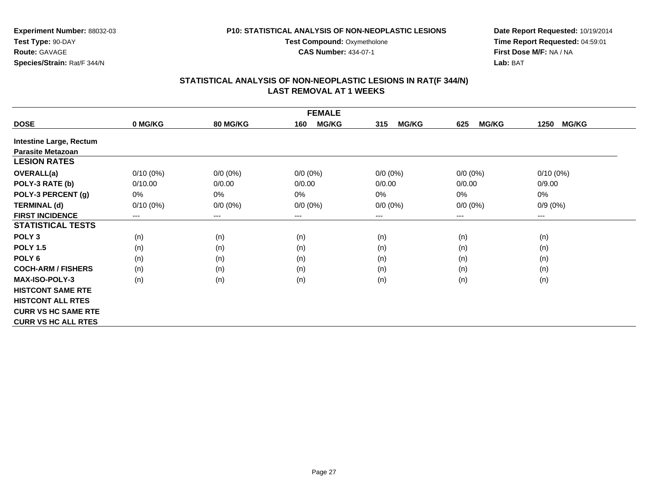**Experiment Number:** 88032-03**Test Type:** 90-DAY**Route:** GAVAGE**Species/Strain:** Rat/F 344/N

**Date Report Requested:** 10/19/2014**Time Report Requested:** 04:59:01**First Dose M/F:** NA / NA**Lab:** BAT

## **STATISTICAL ANALYSIS OF NON-NEOPLASTIC LESIONS IN RAT(F 344/N) LAST REMOVAL AT 1 WEEKS**

**Test Compound: Oxymetholone CAS Number:** 434-07-1

|                                | <b>FEMALE</b> |                 |                     |                     |                     |                      |  |  |  |
|--------------------------------|---------------|-----------------|---------------------|---------------------|---------------------|----------------------|--|--|--|
| <b>DOSE</b>                    | 0 MG/KG       | <b>80 MG/KG</b> | <b>MG/KG</b><br>160 | <b>MG/KG</b><br>315 | <b>MG/KG</b><br>625 | <b>MG/KG</b><br>1250 |  |  |  |
| <b>Intestine Large, Rectum</b> |               |                 |                     |                     |                     |                      |  |  |  |
| <b>Parasite Metazoan</b>       |               |                 |                     |                     |                     |                      |  |  |  |
| <b>LESION RATES</b>            |               |                 |                     |                     |                     |                      |  |  |  |
| <b>OVERALL(a)</b>              | $0/10(0\%)$   | $0/0 (0\%)$     | $0/0 (0\%)$         | $0/0 (0\%)$         | $0/0 (0\%)$         | $0/10(0\%)$          |  |  |  |
| POLY-3 RATE (b)                | 0/10.00       | 0/0.00          | 0/0.00              | 0/0.00              | 0/0.00              | 0/9.00               |  |  |  |
| POLY-3 PERCENT (g)             | 0%            | 0%              | 0%                  | 0%                  | 0%                  | 0%                   |  |  |  |
| <b>TERMINAL (d)</b>            | $0/10(0\%)$   | $0/0 (0\%)$     | $0/0 (0\%)$         | $0/0 (0\%)$         | $0/0 (0\%)$         | $0/9(0\%)$           |  |  |  |
| <b>FIRST INCIDENCE</b>         | ---           | $---$           | ---                 | ---                 | ---                 | $--$                 |  |  |  |
| <b>STATISTICAL TESTS</b>       |               |                 |                     |                     |                     |                      |  |  |  |
| POLY <sub>3</sub>              | (n)           | (n)             | (n)                 | (n)                 | (n)                 | (n)                  |  |  |  |
| <b>POLY 1.5</b>                | (n)           | (n)             | (n)                 | (n)                 | (n)                 | (n)                  |  |  |  |
| POLY <sub>6</sub>              | (n)           | (n)             | (n)                 | (n)                 | (n)                 | (n)                  |  |  |  |
| <b>COCH-ARM / FISHERS</b>      | (n)           | (n)             | (n)                 | (n)                 | (n)                 | (n)                  |  |  |  |
| <b>MAX-ISO-POLY-3</b>          | (n)           | (n)             | (n)                 | (n)                 | (n)                 | (n)                  |  |  |  |
| <b>HISTCONT SAME RTE</b>       |               |                 |                     |                     |                     |                      |  |  |  |
| <b>HISTCONT ALL RTES</b>       |               |                 |                     |                     |                     |                      |  |  |  |
| <b>CURR VS HC SAME RTE</b>     |               |                 |                     |                     |                     |                      |  |  |  |
| <b>CURR VS HC ALL RTES</b>     |               |                 |                     |                     |                     |                      |  |  |  |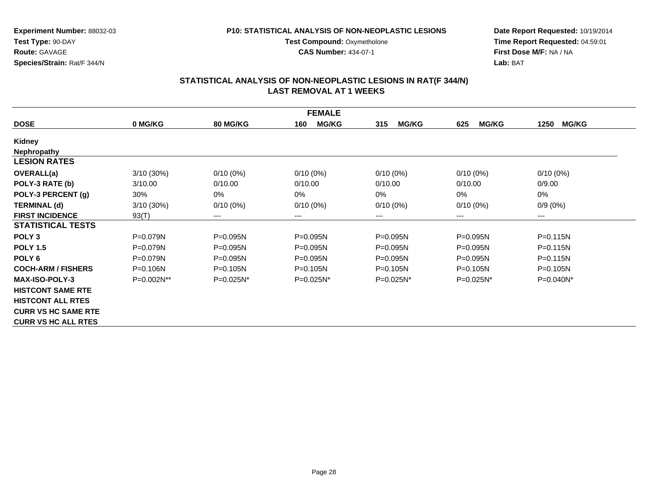**Experiment Number:** 88032-03**Test Type:** 90-DAY**Route:** GAVAGE**Species/Strain:** Rat/F 344/N

**Date Report Requested:** 10/19/2014**Time Report Requested:** 04:59:01**First Dose M/F:** NA / NA**Lab:** BAT

### **STATISTICAL ANALYSIS OF NON-NEOPLASTIC LESIONS IN RAT(F 344/N) LAST REMOVAL AT 1 WEEKS**

**Test Compound: Oxymetholone CAS Number:** 434-07-1

| <b>FEMALE</b>              |              |                 |                     |                     |                     |                      |  |  |
|----------------------------|--------------|-----------------|---------------------|---------------------|---------------------|----------------------|--|--|
| <b>DOSE</b>                | 0 MG/KG      | <b>80 MG/KG</b> | <b>MG/KG</b><br>160 | <b>MG/KG</b><br>315 | <b>MG/KG</b><br>625 | <b>MG/KG</b><br>1250 |  |  |
| Kidney                     |              |                 |                     |                     |                     |                      |  |  |
| Nephropathy                |              |                 |                     |                     |                     |                      |  |  |
| <b>LESION RATES</b>        |              |                 |                     |                     |                     |                      |  |  |
| <b>OVERALL(a)</b>          | $3/10(30\%)$ | $0/10(0\%)$     | $0/10(0\%)$         | $0/10(0\%)$         | $0/10(0\%)$         | $0/10(0\%)$          |  |  |
| POLY-3 RATE (b)            | 3/10.00      | 0/10.00         | 0/10.00             | 0/10.00             | 0/10.00             | 0/9.00               |  |  |
| POLY-3 PERCENT (g)         | 30%          | 0%              | $0\%$               | $0\%$               | 0%                  | $0\%$                |  |  |
| <b>TERMINAL (d)</b>        | 3/10 (30%)   | $0/10(0\%)$     | $0/10(0\%)$         | $0/10(0\%)$         | $0/10(0\%)$         | $0/9(0\%)$           |  |  |
| <b>FIRST INCIDENCE</b>     | 93(T)        | ---             | $--$                | ---                 | ---                 | ---                  |  |  |
| <b>STATISTICAL TESTS</b>   |              |                 |                     |                     |                     |                      |  |  |
| POLY <sub>3</sub>          | P=0.079N     | P=0.095N        | $P = 0.095N$        | P=0.095N            | P=0.095N            | $P = 0.115N$         |  |  |
| <b>POLY 1.5</b>            | $P = 0.079N$ | $P = 0.095N$    | $P = 0.095N$        | $P = 0.095N$        | $P = 0.095N$        | $P = 0.115N$         |  |  |
| POLY 6                     | $P = 0.079N$ | P=0.095N        | $P = 0.095N$        | P=0.095N            | P=0.095N            | $P = 0.115N$         |  |  |
| <b>COCH-ARM / FISHERS</b>  | $P = 0.106N$ | $P = 0.105N$    | $P = 0.105N$        | $P = 0.105N$        | $P = 0.105N$        | $P = 0.105N$         |  |  |
| <b>MAX-ISO-POLY-3</b>      | P=0.002N**   | P=0.025N*       | $P=0.025N^*$        | $P=0.025N*$         | $P=0.025N^*$        | P=0.040N*            |  |  |
| <b>HISTCONT SAME RTE</b>   |              |                 |                     |                     |                     |                      |  |  |
| <b>HISTCONT ALL RTES</b>   |              |                 |                     |                     |                     |                      |  |  |
| <b>CURR VS HC SAME RTE</b> |              |                 |                     |                     |                     |                      |  |  |
| <b>CURR VS HC ALL RTES</b> |              |                 |                     |                     |                     |                      |  |  |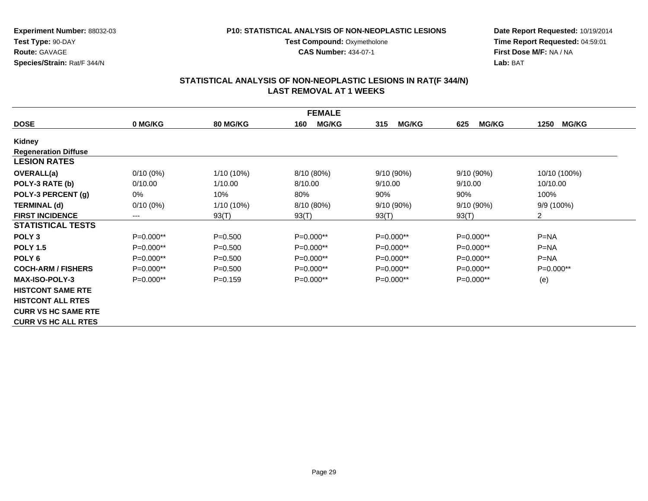#### **P10: STATISTICAL ANALYSIS OF NON-NEOPLASTIC LESIONS**

**Test Compound: Oxymetholone** 

**CAS Number:** 434-07-1

**Date Report Requested:** 10/19/2014**Time Report Requested:** 04:59:01**First Dose M/F:** NA / NA**Lab:** BAT

| <b>FEMALE</b>               |             |                 |                     |                     |                     |                      |  |  |
|-----------------------------|-------------|-----------------|---------------------|---------------------|---------------------|----------------------|--|--|
| <b>DOSE</b>                 | 0 MG/KG     | <b>80 MG/KG</b> | <b>MG/KG</b><br>160 | <b>MG/KG</b><br>315 | <b>MG/KG</b><br>625 | <b>MG/KG</b><br>1250 |  |  |
| Kidney                      |             |                 |                     |                     |                     |                      |  |  |
| <b>Regeneration Diffuse</b> |             |                 |                     |                     |                     |                      |  |  |
| <b>LESION RATES</b>         |             |                 |                     |                     |                     |                      |  |  |
| <b>OVERALL(a)</b>           | $0/10(0\%)$ | 1/10 (10%)      | 8/10 (80%)          | 9/10 (90%)          | $9/10(90\%)$        | 10/10 (100%)         |  |  |
| POLY-3 RATE (b)             | 0/10.00     | 1/10.00         | 8/10.00             | 9/10.00             | 9/10.00             | 10/10.00             |  |  |
| POLY-3 PERCENT (g)          | 0%          | 10%             | 80%                 | 90%                 | 90%                 | 100%                 |  |  |
| <b>TERMINAL (d)</b>         | $0/10(0\%)$ | 1/10 (10%)      | 8/10 (80%)          | 9/10 (90%)          | $9/10(90\%)$        | $9/9(100\%)$         |  |  |
| <b>FIRST INCIDENCE</b>      | ---         | 93(T)           | 93(T)               | 93(T)               | 93(T)               | $\overline{2}$       |  |  |
| <b>STATISTICAL TESTS</b>    |             |                 |                     |                     |                     |                      |  |  |
| POLY <sub>3</sub>           | P=0.000**   | $P = 0.500$     | $P=0.000**$         | $P=0.000**$         | $P=0.000**$         | $P = NA$             |  |  |
| <b>POLY 1.5</b>             | P=0.000**   | $P = 0.500$     | $P=0.000**$         | P=0.000**           | $P=0.000**$         | $P=NA$               |  |  |
| POLY <sub>6</sub>           | $P=0.000**$ | $P=0.500$       | $P=0.000**$         | $P=0.000**$         | $P=0.000**$         | $P=NA$               |  |  |
| <b>COCH-ARM / FISHERS</b>   | $P=0.000**$ | $P = 0.500$     | $P=0.000**$         | $P=0.000**$         | $P=0.000**$         | $P=0.000**$          |  |  |
| <b>MAX-ISO-POLY-3</b>       | $P=0.000**$ | $P = 0.159$     | $P=0.000**$         | $P=0.000**$         | $P=0.000**$         | (e)                  |  |  |
| <b>HISTCONT SAME RTE</b>    |             |                 |                     |                     |                     |                      |  |  |
| <b>HISTCONT ALL RTES</b>    |             |                 |                     |                     |                     |                      |  |  |
| <b>CURR VS HC SAME RTE</b>  |             |                 |                     |                     |                     |                      |  |  |
| <b>CURR VS HC ALL RTES</b>  |             |                 |                     |                     |                     |                      |  |  |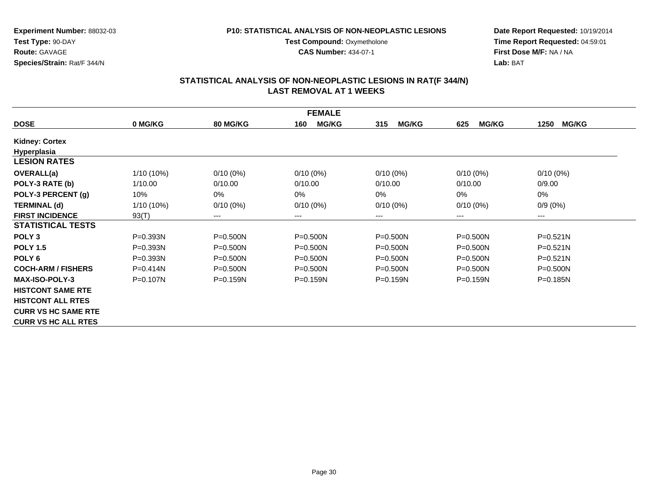#### **P10: STATISTICAL ANALYSIS OF NON-NEOPLASTIC LESIONS**

**Test Compound: Oxymetholone** 

**CAS Number:** 434-07-1

**Date Report Requested:** 10/19/2014**Time Report Requested:** 04:59:01**First Dose M/F:** NA / NA**Lab:** BAT

| <b>FEMALE</b>              |              |                        |                     |                     |                     |                      |  |  |
|----------------------------|--------------|------------------------|---------------------|---------------------|---------------------|----------------------|--|--|
| <b>DOSE</b>                | 0 MG/KG      | <b>80 MG/KG</b>        | <b>MG/KG</b><br>160 | <b>MG/KG</b><br>315 | <b>MG/KG</b><br>625 | <b>MG/KG</b><br>1250 |  |  |
| <b>Kidney: Cortex</b>      |              |                        |                     |                     |                     |                      |  |  |
| Hyperplasia                |              |                        |                     |                     |                     |                      |  |  |
| <b>LESION RATES</b>        |              |                        |                     |                     |                     |                      |  |  |
| <b>OVERALL(a)</b>          | 1/10 (10%)   | $0/10(0\%)$            | $0/10(0\%)$         | $0/10(0\%)$         | $0/10(0\%)$         | $0/10(0\%)$          |  |  |
| POLY-3 RATE (b)            | 1/10.00      | 0/10.00                | 0/10.00             | 0/10.00             | 0/10.00             | 0/9.00               |  |  |
| POLY-3 PERCENT (g)         | 10%          | 0%                     | $0\%$               | 0%                  | 0%                  | 0%                   |  |  |
| <b>TERMINAL (d)</b>        | $1/10(10\%)$ | $0/10(0\%)$            | $0/10(0\%)$         | $0/10(0\%)$         | $0/10(0\%)$         | $0/9(0\%)$           |  |  |
| <b>FIRST INCIDENCE</b>     | 93(T)        | $\qquad \qquad \cdots$ | $---$               | ---                 | ---                 | ---                  |  |  |
| <b>STATISTICAL TESTS</b>   |              |                        |                     |                     |                     |                      |  |  |
| POLY <sub>3</sub>          | P=0.393N     | P=0.500N               | $P = 0.500N$        | $P = 0.500N$        | $P = 0.500N$        | $P = 0.521N$         |  |  |
| <b>POLY 1.5</b>            | $P = 0.393N$ | P=0.500N               | $P = 0.500N$        | $P = 0.500N$        | $P = 0.500N$        | $P = 0.521N$         |  |  |
| POLY 6                     | $P = 0.393N$ | $P = 0.500N$           | $P = 0.500N$        | $P = 0.500N$        | $P = 0.500N$        | $P = 0.521N$         |  |  |
| <b>COCH-ARM / FISHERS</b>  | $P = 0.414N$ | $P = 0.500N$           | $P = 0.500N$        | $P = 0.500N$        | $P = 0.500N$        | $P = 0.500N$         |  |  |
| <b>MAX-ISO-POLY-3</b>      | $P = 0.107N$ | $P = 0.159N$           | $P = 0.159N$        | $P = 0.159N$        | $P = 0.159N$        | $P = 0.185N$         |  |  |
| <b>HISTCONT SAME RTE</b>   |              |                        |                     |                     |                     |                      |  |  |
| <b>HISTCONT ALL RTES</b>   |              |                        |                     |                     |                     |                      |  |  |
| <b>CURR VS HC SAME RTE</b> |              |                        |                     |                     |                     |                      |  |  |
| <b>CURR VS HC ALL RTES</b> |              |                        |                     |                     |                     |                      |  |  |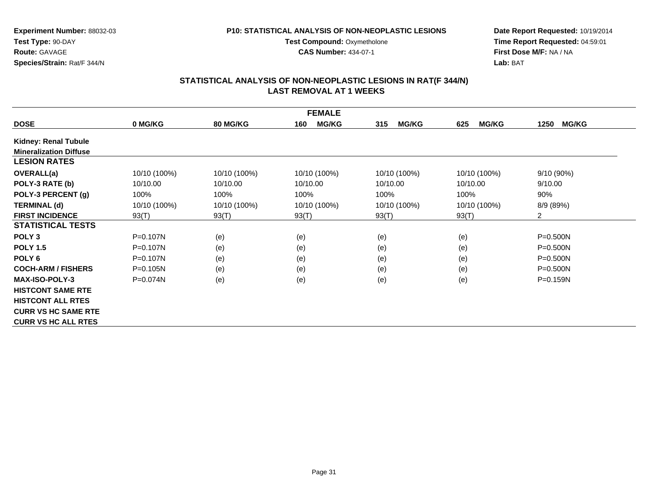#### **P10: STATISTICAL ANALYSIS OF NON-NEOPLASTIC LESIONS**

**Test Compound: Oxymetholone** 

**CAS Number:** 434-07-1

**Date Report Requested:** 10/19/2014**Time Report Requested:** 04:59:01**First Dose M/F:** NA / NA**Lab:** BAT

| <b>FEMALE</b>                 |              |                 |                     |                     |                     |                      |  |  |
|-------------------------------|--------------|-----------------|---------------------|---------------------|---------------------|----------------------|--|--|
| <b>DOSE</b>                   | 0 MG/KG      | <b>80 MG/KG</b> | <b>MG/KG</b><br>160 | <b>MG/KG</b><br>315 | <b>MG/KG</b><br>625 | <b>MG/KG</b><br>1250 |  |  |
| <b>Kidney: Renal Tubule</b>   |              |                 |                     |                     |                     |                      |  |  |
| <b>Mineralization Diffuse</b> |              |                 |                     |                     |                     |                      |  |  |
| <b>LESION RATES</b>           |              |                 |                     |                     |                     |                      |  |  |
| <b>OVERALL(a)</b>             | 10/10 (100%) | 10/10 (100%)    | 10/10 (100%)        | 10/10 (100%)        | 10/10 (100%)        | $9/10(90\%)$         |  |  |
| POLY-3 RATE (b)               | 10/10.00     | 10/10.00        | 10/10.00            | 10/10.00            | 10/10.00            | 9/10.00              |  |  |
| POLY-3 PERCENT (g)            | 100%         | 100%            | 100%                | 100%                | 100%                | 90%                  |  |  |
| <b>TERMINAL (d)</b>           | 10/10 (100%) | 10/10 (100%)    | 10/10 (100%)        | 10/10 (100%)        | 10/10 (100%)        | 8/9 (89%)            |  |  |
| <b>FIRST INCIDENCE</b>        | 93(T)        | 93(T)           | 93(T)               | 93(T)               | 93(T)               | $\overline{2}$       |  |  |
| <b>STATISTICAL TESTS</b>      |              |                 |                     |                     |                     |                      |  |  |
| POLY <sub>3</sub>             | $P = 0.107N$ | (e)             | (e)                 | (e)                 | (e)                 | $P = 0.500N$         |  |  |
| <b>POLY 1.5</b>               | $P = 0.107N$ | (e)             | (e)                 | (e)                 | (e)                 | $P = 0.500N$         |  |  |
| POLY 6                        | $P = 0.107N$ | (e)             | (e)                 | (e)                 | (e)                 | P=0.500N             |  |  |
| <b>COCH-ARM / FISHERS</b>     | $P = 0.105N$ | (e)             | (e)                 | (e)                 | (e)                 | $P = 0.500N$         |  |  |
| <b>MAX-ISO-POLY-3</b>         | $P = 0.074N$ | (e)             | (e)                 | (e)                 | (e)                 | $P = 0.159N$         |  |  |
| <b>HISTCONT SAME RTE</b>      |              |                 |                     |                     |                     |                      |  |  |
| <b>HISTCONT ALL RTES</b>      |              |                 |                     |                     |                     |                      |  |  |
| <b>CURR VS HC SAME RTE</b>    |              |                 |                     |                     |                     |                      |  |  |
| <b>CURR VS HC ALL RTES</b>    |              |                 |                     |                     |                     |                      |  |  |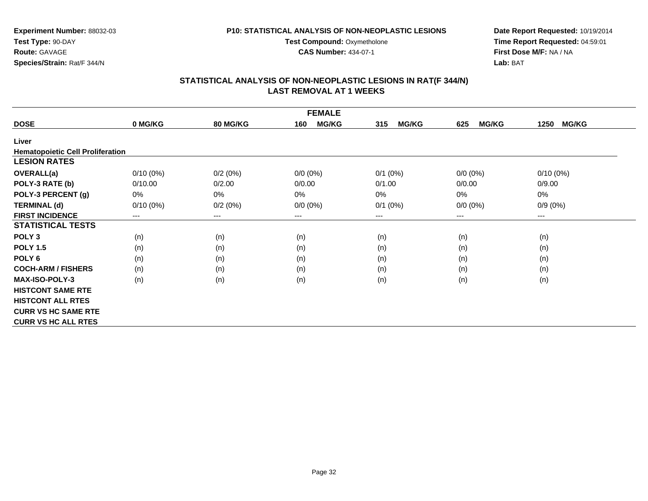**CAS Number:** 434-07-1

**Experiment Number:** 88032-03**Test Type:** 90-DAY**Route:** GAVAGE**Species/Strain:** Rat/F 344/N

**Date Report Requested:** 10/19/2014**Time Report Requested:** 04:59:01**First Dose M/F:** NA / NA**Lab:** BAT

| <b>FEMALE</b>                           |                        |                 |                     |                     |                     |                      |  |  |
|-----------------------------------------|------------------------|-----------------|---------------------|---------------------|---------------------|----------------------|--|--|
| <b>DOSE</b>                             | 0 MG/KG                | <b>80 MG/KG</b> | <b>MG/KG</b><br>160 | <b>MG/KG</b><br>315 | <b>MG/KG</b><br>625 | <b>MG/KG</b><br>1250 |  |  |
| Liver                                   |                        |                 |                     |                     |                     |                      |  |  |
| <b>Hematopoietic Cell Proliferation</b> |                        |                 |                     |                     |                     |                      |  |  |
| <b>LESION RATES</b>                     |                        |                 |                     |                     |                     |                      |  |  |
| <b>OVERALL(a)</b>                       | $0/10(0\%)$            | 0/2(0%)         | $0/0 (0\%)$         | $0/1$ $(0%)$        | $0/0 (0\%)$         | $0/10(0\%)$          |  |  |
| POLY-3 RATE (b)                         | 0/10.00                | 0/2.00          | 0/0.00              | 0/1.00              | 0/0.00              | 0/9.00               |  |  |
| POLY-3 PERCENT (g)                      | 0%                     | 0%              | $0\%$               | 0%                  | 0%                  | 0%                   |  |  |
| <b>TERMINAL (d)</b>                     | $0/10(0\%)$            | 0/2(0%)         | $0/0 (0\%)$         | $0/1$ (0%)          | $0/0 (0\%)$         | $0/9(0\%)$           |  |  |
| <b>FIRST INCIDENCE</b>                  | $\qquad \qquad \cdots$ | $\cdots$        | ---                 | ---                 | ---                 | $\qquad \qquad - -$  |  |  |
| <b>STATISTICAL TESTS</b>                |                        |                 |                     |                     |                     |                      |  |  |
| POLY <sub>3</sub>                       | (n)                    | (n)             | (n)                 | (n)                 | (n)                 | (n)                  |  |  |
| <b>POLY 1.5</b>                         | (n)                    | (n)             | (n)                 | (n)                 | (n)                 | (n)                  |  |  |
| POLY <sub>6</sub>                       | (n)                    | (n)             | (n)                 | (n)                 | (n)                 | (n)                  |  |  |
| <b>COCH-ARM / FISHERS</b>               | (n)                    | (n)             | (n)                 | (n)                 | (n)                 | (n)                  |  |  |
| <b>MAX-ISO-POLY-3</b>                   | (n)                    | (n)             | (n)                 | (n)                 | (n)                 | (n)                  |  |  |
| <b>HISTCONT SAME RTE</b>                |                        |                 |                     |                     |                     |                      |  |  |
| <b>HISTCONT ALL RTES</b>                |                        |                 |                     |                     |                     |                      |  |  |
| <b>CURR VS HC SAME RTE</b>              |                        |                 |                     |                     |                     |                      |  |  |
| <b>CURR VS HC ALL RTES</b>              |                        |                 |                     |                     |                     |                      |  |  |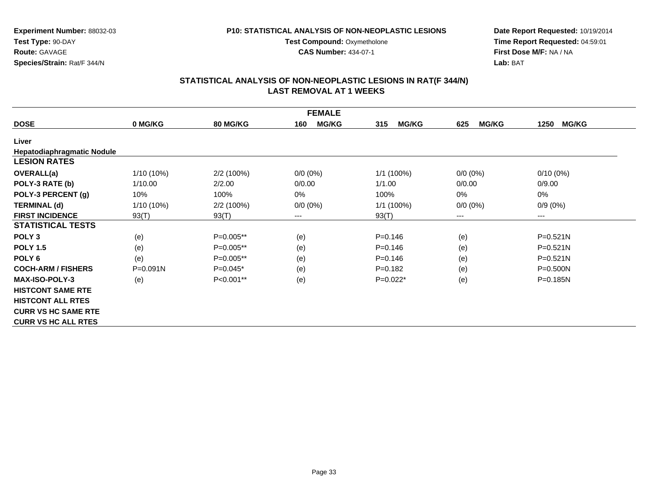**Test Compound: Oxymetholone CAS Number:** 434-07-1

**Experiment Number:** 88032-03**Test Type:** 90-DAY**Route:** GAVAGE**Species/Strain:** Rat/F 344/N

**Date Report Requested:** 10/19/2014**Time Report Requested:** 04:59:01**First Dose M/F:** NA / NA**Lab:** BAT

| <b>FEMALE</b>              |              |                 |                     |                     |                     |                      |  |  |
|----------------------------|--------------|-----------------|---------------------|---------------------|---------------------|----------------------|--|--|
| <b>DOSE</b>                | 0 MG/KG      | <b>80 MG/KG</b> | <b>MG/KG</b><br>160 | <b>MG/KG</b><br>315 | <b>MG/KG</b><br>625 | <b>MG/KG</b><br>1250 |  |  |
| Liver                      |              |                 |                     |                     |                     |                      |  |  |
| Hepatodiaphragmatic Nodule |              |                 |                     |                     |                     |                      |  |  |
| <b>LESION RATES</b>        |              |                 |                     |                     |                     |                      |  |  |
| <b>OVERALL(a)</b>          | $1/10(10\%)$ | 2/2(100%)       | $0/0 (0\%)$         | $1/1$ (100%)        | $0/0 (0\%)$         | $0/10(0\%)$          |  |  |
| POLY-3 RATE (b)            | 1/10.00      | 2/2.00          | 0/0.00              | 1/1.00              | 0/0.00              | 0/9.00               |  |  |
| POLY-3 PERCENT (g)         | 10%          | 100%            | 0%                  | 100%                | 0%                  | 0%                   |  |  |
| <b>TERMINAL (d)</b>        | $1/10(10\%)$ | 2/2(100%)       | $0/0 (0\%)$         | $1/1$ (100%)        | $0/0 (0\%)$         | $0/9(0\%)$           |  |  |
| <b>FIRST INCIDENCE</b>     | 93(T)        | 93(T)           | ---                 | 93(T)               | $---$               | ---                  |  |  |
| <b>STATISTICAL TESTS</b>   |              |                 |                     |                     |                     |                      |  |  |
| POLY <sub>3</sub>          | (e)          | P=0.005**       | (e)                 | $P = 0.146$         | (e)                 | $P = 0.521N$         |  |  |
| <b>POLY 1.5</b>            | (e)          | P=0.005**       | (e)                 | $P = 0.146$         | (e)                 | P=0.521N             |  |  |
| POLY <sub>6</sub>          | (e)          | P=0.005**       | (e)                 | $P = 0.146$         | (e)                 | $P = 0.521N$         |  |  |
| <b>COCH-ARM / FISHERS</b>  | $P = 0.091N$ | $P=0.045*$      | (e)                 | $P = 0.182$         | (e)                 | P=0.500N             |  |  |
| <b>MAX-ISO-POLY-3</b>      | (e)          | P<0.001**       | (e)                 | $P=0.022*$          | (e)                 | $P = 0.185N$         |  |  |
| <b>HISTCONT SAME RTE</b>   |              |                 |                     |                     |                     |                      |  |  |
| <b>HISTCONT ALL RTES</b>   |              |                 |                     |                     |                     |                      |  |  |
| <b>CURR VS HC SAME RTE</b> |              |                 |                     |                     |                     |                      |  |  |
| <b>CURR VS HC ALL RTES</b> |              |                 |                     |                     |                     |                      |  |  |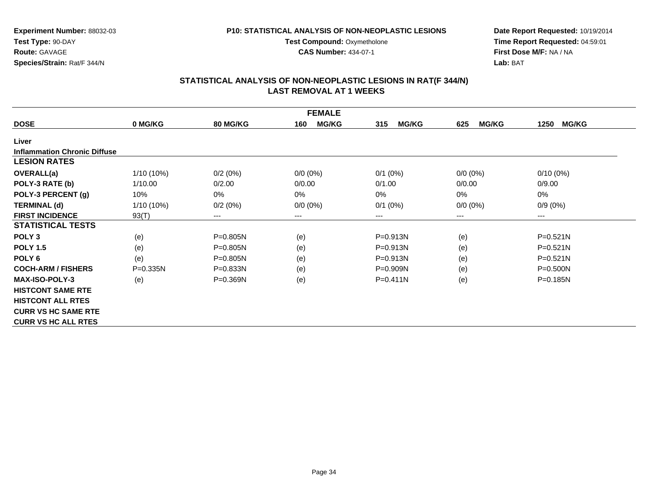**CAS Number:** 434-07-1

**Experiment Number:** 88032-03**Test Type:** 90-DAY**Route:** GAVAGE**Species/Strain:** Rat/F 344/N

**Date Report Requested:** 10/19/2014**Time Report Requested:** 04:59:01**First Dose M/F:** NA / NA**Lab:** BAT

| <b>FEMALE</b>                       |              |                 |                     |                     |                     |                      |  |  |
|-------------------------------------|--------------|-----------------|---------------------|---------------------|---------------------|----------------------|--|--|
| <b>DOSE</b>                         | 0 MG/KG      | <b>80 MG/KG</b> | <b>MG/KG</b><br>160 | <b>MG/KG</b><br>315 | <b>MG/KG</b><br>625 | <b>MG/KG</b><br>1250 |  |  |
| Liver                               |              |                 |                     |                     |                     |                      |  |  |
| <b>Inflammation Chronic Diffuse</b> |              |                 |                     |                     |                     |                      |  |  |
| <b>LESION RATES</b>                 |              |                 |                     |                     |                     |                      |  |  |
| <b>OVERALL(a)</b>                   | 1/10 (10%)   | 0/2(0%)         | $0/0 (0\%)$         | $0/1$ (0%)          | $0/0 (0\%)$         | $0/10(0\%)$          |  |  |
| POLY-3 RATE (b)                     | 1/10.00      | 0/2.00          | 0/0.00              | 0/1.00              | 0/0.00              | 0/9.00               |  |  |
| POLY-3 PERCENT (g)                  | 10%          | 0%              | 0%                  | $0\%$               | 0%                  | 0%                   |  |  |
| <b>TERMINAL (d)</b>                 | $1/10(10\%)$ | 0/2(0%)         | $0/0 (0\%)$         | $0/1$ (0%)          | $0/0 (0\%)$         | $0/9(0\%)$           |  |  |
| <b>FIRST INCIDENCE</b>              | 93(T)        | ---             | ---                 | ---                 | ---                 | $---$                |  |  |
| <b>STATISTICAL TESTS</b>            |              |                 |                     |                     |                     |                      |  |  |
| POLY <sub>3</sub>                   | (e)          | P=0.805N        | (e)                 | P=0.913N            | (e)                 | P=0.521N             |  |  |
| <b>POLY 1.5</b>                     | (e)          | $P = 0.805N$    | (e)                 | $P = 0.913N$        | (e)                 | $P = 0.521N$         |  |  |
| POLY <sub>6</sub>                   | (e)          | $P = 0.805N$    | (e)                 | P=0.913N            | (e)                 | P=0.521N             |  |  |
| <b>COCH-ARM / FISHERS</b>           | $P = 0.335N$ | $P = 0.833N$    | (e)                 | $P = 0.909N$        | (e)                 | $P = 0.500N$         |  |  |
| <b>MAX-ISO-POLY-3</b>               | (e)          | $P = 0.369N$    | (e)                 | $P = 0.411N$        | (e)                 | $P = 0.185N$         |  |  |
| <b>HISTCONT SAME RTE</b>            |              |                 |                     |                     |                     |                      |  |  |
| <b>HISTCONT ALL RTES</b>            |              |                 |                     |                     |                     |                      |  |  |
| <b>CURR VS HC SAME RTE</b>          |              |                 |                     |                     |                     |                      |  |  |
| <b>CURR VS HC ALL RTES</b>          |              |                 |                     |                     |                     |                      |  |  |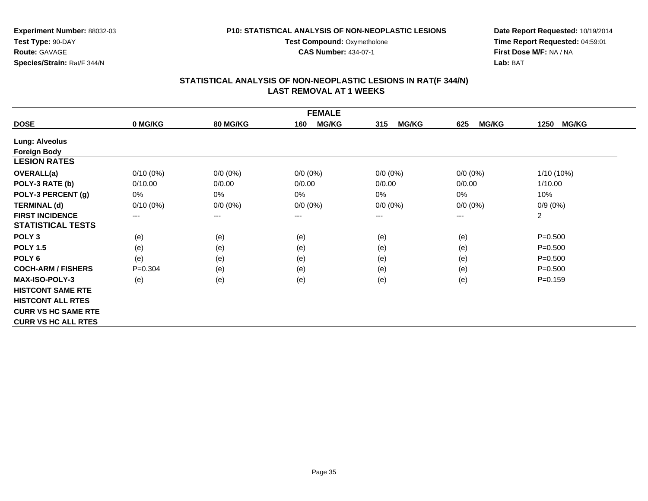**CAS Number:** 434-07-1

**Experiment Number:** 88032-03**Test Type:** 90-DAY**Route:** GAVAGE**Species/Strain:** Rat/F 344/N

**Date Report Requested:** 10/19/2014**Time Report Requested:** 04:59:01**First Dose M/F:** NA / NA**Lab:** BAT

| <b>FEMALE</b>              |             |                 |                     |                     |                     |                      |  |  |
|----------------------------|-------------|-----------------|---------------------|---------------------|---------------------|----------------------|--|--|
| <b>DOSE</b>                | 0 MG/KG     | <b>80 MG/KG</b> | <b>MG/KG</b><br>160 | <b>MG/KG</b><br>315 | <b>MG/KG</b><br>625 | <b>MG/KG</b><br>1250 |  |  |
| <b>Lung: Alveolus</b>      |             |                 |                     |                     |                     |                      |  |  |
| <b>Foreign Body</b>        |             |                 |                     |                     |                     |                      |  |  |
| <b>LESION RATES</b>        |             |                 |                     |                     |                     |                      |  |  |
| <b>OVERALL(a)</b>          | $0/10(0\%)$ | $0/0 (0\%)$     | $0/0 (0\%)$         | $0/0 (0\%)$         | $0/0 (0\%)$         | $1/10(10\%)$         |  |  |
| POLY-3 RATE (b)            | 0/10.00     | 0/0.00          | 0/0.00              | 0/0.00              | 0/0.00              | 1/10.00              |  |  |
| POLY-3 PERCENT (g)         | 0%          | 0%              | 0%                  | $0\%$               | 0%                  | 10%                  |  |  |
| <b>TERMINAL (d)</b>        | $0/10(0\%)$ | $0/0 (0\%)$     | $0/0 (0\%)$         | $0/0 (0\%)$         | $0/0 (0\%)$         | $0/9(0\%)$           |  |  |
| <b>FIRST INCIDENCE</b>     | $---$       | ---             | $--$                | ---                 | ---                 | $\overline{c}$       |  |  |
| <b>STATISTICAL TESTS</b>   |             |                 |                     |                     |                     |                      |  |  |
| POLY <sub>3</sub>          | (e)         | (e)             | (e)                 | (e)                 | (e)                 | $P = 0.500$          |  |  |
| <b>POLY 1.5</b>            | (e)         | (e)             | (e)                 | (e)                 | (e)                 | $P = 0.500$          |  |  |
| POLY 6                     | (e)         | (e)             | (e)                 | (e)                 | (e)                 | $P = 0.500$          |  |  |
| <b>COCH-ARM / FISHERS</b>  | $P = 0.304$ | (e)             | (e)                 | (e)                 | (e)                 | $P = 0.500$          |  |  |
| <b>MAX-ISO-POLY-3</b>      | (e)         | (e)             | (e)                 | (e)                 | (e)                 | $P = 0.159$          |  |  |
| <b>HISTCONT SAME RTE</b>   |             |                 |                     |                     |                     |                      |  |  |
| <b>HISTCONT ALL RTES</b>   |             |                 |                     |                     |                     |                      |  |  |
| <b>CURR VS HC SAME RTE</b> |             |                 |                     |                     |                     |                      |  |  |
| <b>CURR VS HC ALL RTES</b> |             |                 |                     |                     |                     |                      |  |  |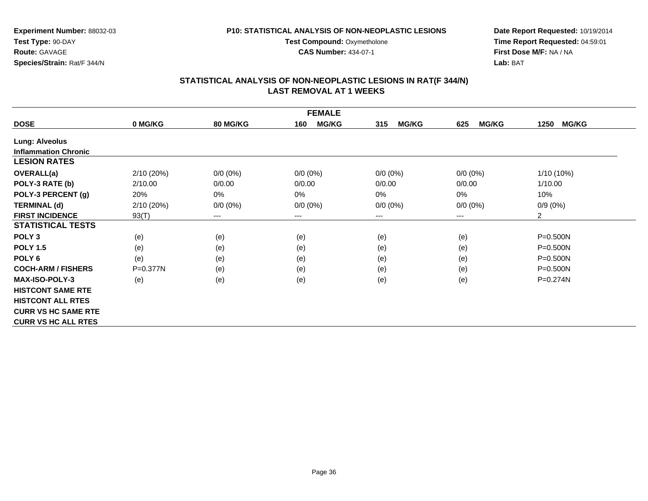**CAS Number:** 434-07-1

**Experiment Number:** 88032-03**Test Type:** 90-DAY**Route:** GAVAGE**Species/Strain:** Rat/F 344/N

**Date Report Requested:** 10/19/2014**Time Report Requested:** 04:59:01**First Dose M/F:** NA / NA**Lab:** BAT

| <b>FEMALE</b>               |            |                            |                     |                     |                     |                      |  |  |
|-----------------------------|------------|----------------------------|---------------------|---------------------|---------------------|----------------------|--|--|
| <b>DOSE</b>                 | 0 MG/KG    | <b>80 MG/KG</b>            | <b>MG/KG</b><br>160 | <b>MG/KG</b><br>315 | <b>MG/KG</b><br>625 | <b>MG/KG</b><br>1250 |  |  |
| Lung: Alveolus              |            |                            |                     |                     |                     |                      |  |  |
| <b>Inflammation Chronic</b> |            |                            |                     |                     |                     |                      |  |  |
| <b>LESION RATES</b>         |            |                            |                     |                     |                     |                      |  |  |
| <b>OVERALL(a)</b>           | 2/10 (20%) | $0/0 (0\%)$                | $0/0 (0\%)$         | $0/0 (0\%)$         | $0/0 (0\%)$         | $1/10(10\%)$         |  |  |
| POLY-3 RATE (b)             | 2/10.00    | 0/0.00                     | 0/0.00              | 0/0.00              | 0/0.00              | 1/10.00              |  |  |
| POLY-3 PERCENT (g)          | 20%        | 0%                         | 0%                  | 0%                  | $0\%$               | 10%                  |  |  |
| <b>TERMINAL (d)</b>         | 2/10(20%)  | $0/0 (0\%)$                | $0/0 (0\%)$         | $0/0 (0\%)$         | $0/0 (0\%)$         | $0/9(0\%)$           |  |  |
| <b>FIRST INCIDENCE</b>      | 93(T)      | $\qquad \qquad - \qquad -$ | $--$                | ---                 | ---                 | $\overline{2}$       |  |  |
| <b>STATISTICAL TESTS</b>    |            |                            |                     |                     |                     |                      |  |  |
| POLY <sub>3</sub>           | (e)        | (e)                        | (e)                 | (e)                 | (e)                 | $P = 0.500N$         |  |  |
| <b>POLY 1.5</b>             | (e)        | (e)                        | (e)                 | (e)                 | (e)                 | $P = 0.500N$         |  |  |
| POLY 6                      | (e)        | (e)                        | (e)                 | (e)                 | (e)                 | $P = 0.500N$         |  |  |
| <b>COCH-ARM / FISHERS</b>   | P=0.377N   | (e)                        | (e)                 | (e)                 | (e)                 | $P = 0.500N$         |  |  |
| <b>MAX-ISO-POLY-3</b>       | (e)        | (e)                        | (e)                 | (e)                 | (e)                 | P=0.274N             |  |  |
| <b>HISTCONT SAME RTE</b>    |            |                            |                     |                     |                     |                      |  |  |
| <b>HISTCONT ALL RTES</b>    |            |                            |                     |                     |                     |                      |  |  |
| <b>CURR VS HC SAME RTE</b>  |            |                            |                     |                     |                     |                      |  |  |
| <b>CURR VS HC ALL RTES</b>  |            |                            |                     |                     |                     |                      |  |  |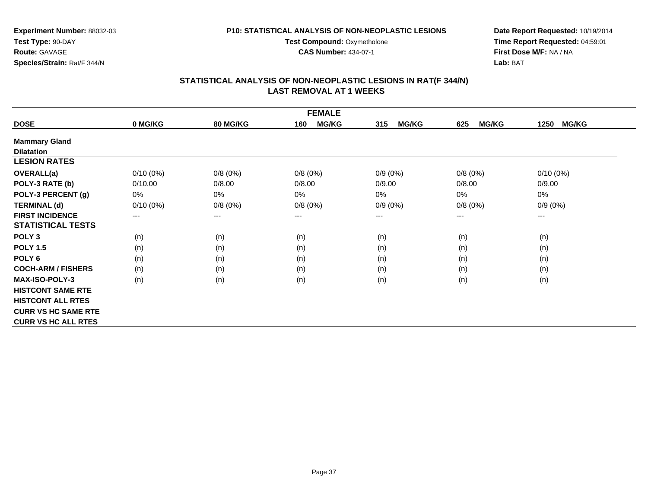**CAS Number:** 434-07-1

**Experiment Number:** 88032-03**Test Type:** 90-DAY**Route:** GAVAGE**Species/Strain:** Rat/F 344/N

**Date Report Requested:** 10/19/2014**Time Report Requested:** 04:59:01**First Dose M/F:** NA / NA**Lab:** BAT

|                            |             |                 | <b>FEMALE</b>       |                     |                     |                      |
|----------------------------|-------------|-----------------|---------------------|---------------------|---------------------|----------------------|
| <b>DOSE</b>                | 0 MG/KG     | <b>80 MG/KG</b> | <b>MG/KG</b><br>160 | <b>MG/KG</b><br>315 | <b>MG/KG</b><br>625 | <b>MG/KG</b><br>1250 |
| <b>Mammary Gland</b>       |             |                 |                     |                     |                     |                      |
| <b>Dilatation</b>          |             |                 |                     |                     |                     |                      |
| <b>LESION RATES</b>        |             |                 |                     |                     |                     |                      |
| <b>OVERALL(a)</b>          | $0/10(0\%)$ | 0/8(0%)         | 0/8(0%)             | $0/9(0\%)$          | 0/8(0%)             | $0/10(0\%)$          |
| POLY-3 RATE (b)            | 0/10.00     | 0/8.00          | 0/8.00              | 0/9.00              | 0/8.00              | 0/9.00               |
| POLY-3 PERCENT (g)         | 0%          | 0%              | 0%                  | 0%                  | 0%                  | 0%                   |
| <b>TERMINAL (d)</b>        | $0/10(0\%)$ | 0/8(0%)         | 0/8(0%)             | $0/9(0\%)$          | 0/8(0%)             | $0/9(0\%)$           |
| <b>FIRST INCIDENCE</b>     | $---$       | $---$           | $--$                | ---                 | ---                 | ---                  |
| <b>STATISTICAL TESTS</b>   |             |                 |                     |                     |                     |                      |
| POLY <sub>3</sub>          | (n)         | (n)             | (n)                 | (n)                 | (n)                 | (n)                  |
| <b>POLY 1.5</b>            | (n)         | (n)             | (n)                 | (n)                 | (n)                 | (n)                  |
| POLY 6                     | (n)         | (n)             | (n)                 | (n)                 | (n)                 | (n)                  |
| <b>COCH-ARM / FISHERS</b>  | (n)         | (n)             | (n)                 | (n)                 | (n)                 | (n)                  |
| <b>MAX-ISO-POLY-3</b>      | (n)         | (n)             | (n)                 | (n)                 | (n)                 | (n)                  |
| <b>HISTCONT SAME RTE</b>   |             |                 |                     |                     |                     |                      |
| <b>HISTCONT ALL RTES</b>   |             |                 |                     |                     |                     |                      |
| <b>CURR VS HC SAME RTE</b> |             |                 |                     |                     |                     |                      |
| <b>CURR VS HC ALL RTES</b> |             |                 |                     |                     |                     |                      |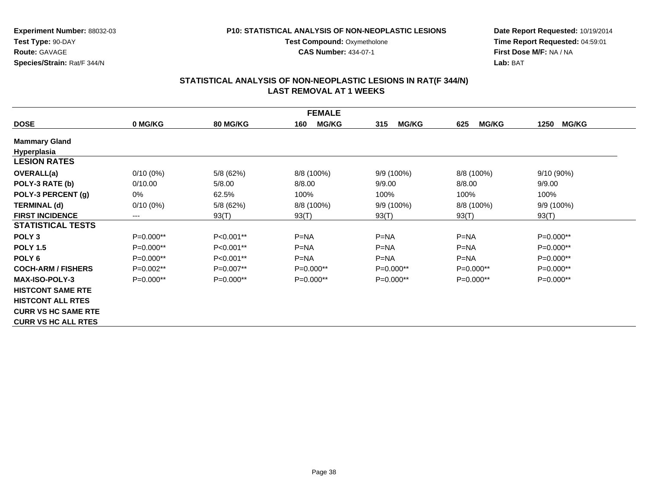**Test Compound: Oxymetholone CAS Number:** 434-07-1

**Experiment Number:** 88032-03**Test Type:** 90-DAY**Route:** GAVAGE**Species/Strain:** Rat/F 344/N

**Date Report Requested:** 10/19/2014**Time Report Requested:** 04:59:01**First Dose M/F:** NA / NA**Lab:** BAT

|                            |             |                 | <b>FEMALE</b>       |                     |                     |                      |
|----------------------------|-------------|-----------------|---------------------|---------------------|---------------------|----------------------|
| <b>DOSE</b>                | 0 MG/KG     | <b>80 MG/KG</b> | <b>MG/KG</b><br>160 | <b>MG/KG</b><br>315 | <b>MG/KG</b><br>625 | <b>MG/KG</b><br>1250 |
| <b>Mammary Gland</b>       |             |                 |                     |                     |                     |                      |
| Hyperplasia                |             |                 |                     |                     |                     |                      |
| <b>LESION RATES</b>        |             |                 |                     |                     |                     |                      |
| <b>OVERALL(a)</b>          | $0/10(0\%)$ | 5/8 (62%)       | 8/8 (100%)          | 9/9 (100%)          | 8/8 (100%)          | 9/10 (90%)           |
| POLY-3 RATE (b)            | 0/10.00     | 5/8.00          | 8/8.00              | 9/9.00              | 8/8.00              | 9/9.00               |
| POLY-3 PERCENT (g)         | 0%          | 62.5%           | 100%                | 100%                | 100%                | 100%                 |
| <b>TERMINAL (d)</b>        | $0/10(0\%)$ | 5/8 (62%)       | 8/8 (100%)          | 9/9 (100%)          | 8/8 (100%)          | 9/9 (100%)           |
| <b>FIRST INCIDENCE</b>     | $---$       | 93(T)           | 93(T)               | 93(T)               | 93(T)               | 93(T)                |
| <b>STATISTICAL TESTS</b>   |             |                 |                     |                     |                     |                      |
| POLY <sub>3</sub>          | P=0.000**   | P<0.001**       | $P=NA$              | $P=NA$              | $P=NA$              | P=0.000**            |
| <b>POLY 1.5</b>            | $P=0.000**$ | P<0.001**       | $P=NA$              | $P=NA$              | $P=NA$              | $P=0.000**$          |
| POLY <sub>6</sub>          | $P=0.000**$ | $P<0.001**$     | $P=NA$              | $P=NA$              | $P=NA$              | $P=0.000**$          |
| <b>COCH-ARM / FISHERS</b>  | $P=0.002**$ | $P=0.007**$     | $P=0.000**$         | $P=0.000**$         | $P=0.000**$         | $P=0.000**$          |
| <b>MAX-ISO-POLY-3</b>      | $P=0.000**$ | $P=0.000**$     | $P=0.000**$         | $P=0.000**$         | $P=0.000**$         | $P=0.000**$          |
| <b>HISTCONT SAME RTE</b>   |             |                 |                     |                     |                     |                      |
| <b>HISTCONT ALL RTES</b>   |             |                 |                     |                     |                     |                      |
| <b>CURR VS HC SAME RTE</b> |             |                 |                     |                     |                     |                      |
| <b>CURR VS HC ALL RTES</b> |             |                 |                     |                     |                     |                      |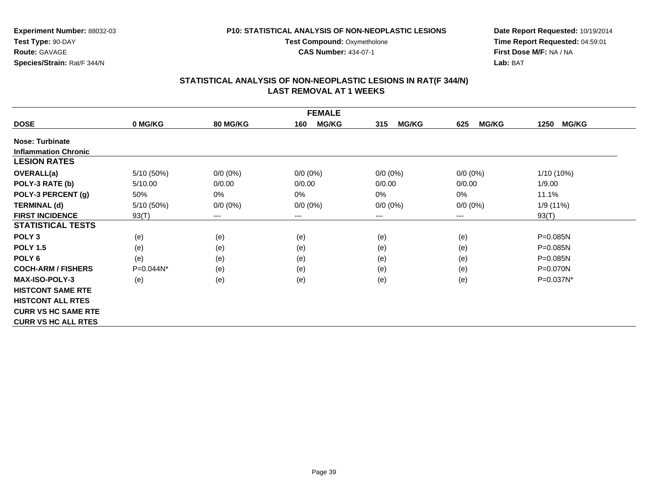**CAS Number:** 434-07-1

**Experiment Number:** 88032-03**Test Type:** 90-DAY**Route:** GAVAGE**Species/Strain:** Rat/F 344/N

**Date Report Requested:** 10/19/2014**Time Report Requested:** 04:59:01**First Dose M/F:** NA / NA**Lab:** BAT

|                             |            |                            | <b>FEMALE</b>              |                     |                     |                      |
|-----------------------------|------------|----------------------------|----------------------------|---------------------|---------------------|----------------------|
| <b>DOSE</b>                 | 0 MG/KG    | <b>80 MG/KG</b>            | 160<br><b>MG/KG</b>        | <b>MG/KG</b><br>315 | <b>MG/KG</b><br>625 | <b>MG/KG</b><br>1250 |
| <b>Nose: Turbinate</b>      |            |                            |                            |                     |                     |                      |
| <b>Inflammation Chronic</b> |            |                            |                            |                     |                     |                      |
| <b>LESION RATES</b>         |            |                            |                            |                     |                     |                      |
| OVERALL(a)                  | 5/10 (50%) | $0/0 (0\%)$                | $0/0 (0\%)$                | $0/0 (0\%)$         | $0/0 (0\%)$         | $1/10(10\%)$         |
| POLY-3 RATE (b)             | 5/10.00    | 0/0.00                     | 0/0.00                     | 0/0.00              | 0/0.00              | 1/9.00               |
| POLY-3 PERCENT (g)          | 50%        | 0%                         | 0%                         | 0%                  | $0\%$               | 11.1%                |
| <b>TERMINAL (d)</b>         | 5/10 (50%) | $0/0 (0\%)$                | $0/0 (0\%)$                | $0/0 (0\%)$         | $0/0 (0\%)$         | 1/9 (11%)            |
| <b>FIRST INCIDENCE</b>      | 93(T)      | $\qquad \qquad - \qquad -$ | $\qquad \qquad - \qquad -$ | $---$               | ---                 | 93(T)                |
| <b>STATISTICAL TESTS</b>    |            |                            |                            |                     |                     |                      |
| POLY <sub>3</sub>           | (e)        | (e)                        | (e)                        | (e)                 | (e)                 | P=0.085N             |
| <b>POLY 1.5</b>             | (e)        | (e)                        | (e)                        | (e)                 | (e)                 | P=0.085N             |
| POLY <sub>6</sub>           | (e)        | (e)                        | (e)                        | (e)                 | (e)                 | $P=0.085N$           |
| <b>COCH-ARM / FISHERS</b>   | P=0.044N*  | (e)                        | (e)                        | (e)                 | (e)                 | $P = 0.070N$         |
| <b>MAX-ISO-POLY-3</b>       | (e)        | (e)                        | (e)                        | (e)                 | (e)                 | P=0.037N*            |
| <b>HISTCONT SAME RTE</b>    |            |                            |                            |                     |                     |                      |
| <b>HISTCONT ALL RTES</b>    |            |                            |                            |                     |                     |                      |
| <b>CURR VS HC SAME RTE</b>  |            |                            |                            |                     |                     |                      |
| <b>CURR VS HC ALL RTES</b>  |            |                            |                            |                     |                     |                      |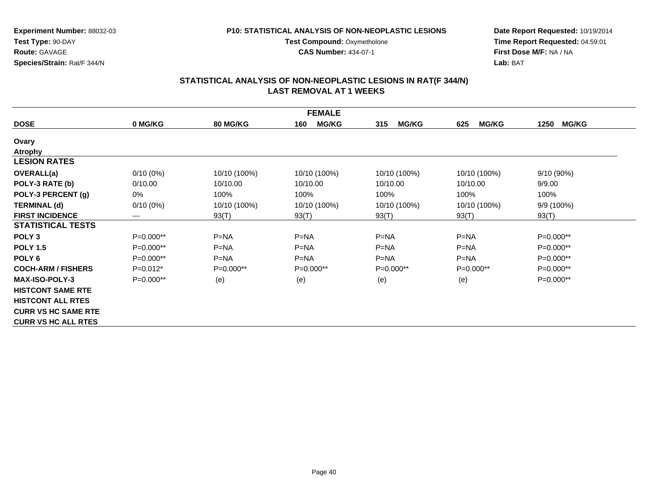**CAS Number:** 434-07-1

**Experiment Number:** 88032-03**Test Type:** 90-DAY**Route:** GAVAGE**Species/Strain:** Rat/F 344/N

**Date Report Requested:** 10/19/2014**Time Report Requested:** 04:59:01**First Dose M/F:** NA / NA**Lab:** BAT

|                            |             |                 | <b>FEMALE</b>       |                     |                     |                      |
|----------------------------|-------------|-----------------|---------------------|---------------------|---------------------|----------------------|
| <b>DOSE</b>                | 0 MG/KG     | <b>80 MG/KG</b> | <b>MG/KG</b><br>160 | <b>MG/KG</b><br>315 | <b>MG/KG</b><br>625 | <b>MG/KG</b><br>1250 |
| Ovary                      |             |                 |                     |                     |                     |                      |
| <b>Atrophy</b>             |             |                 |                     |                     |                     |                      |
| <b>LESION RATES</b>        |             |                 |                     |                     |                     |                      |
| <b>OVERALL(a)</b>          | $0/10(0\%)$ | 10/10 (100%)    | 10/10 (100%)        | 10/10 (100%)        | 10/10 (100%)        | $9/10(90\%)$         |
| POLY-3 RATE (b)            | 0/10.00     | 10/10.00        | 10/10.00            | 10/10.00            | 10/10.00            | 9/9.00               |
| POLY-3 PERCENT (g)         | 0%          | 100%            | 100%                | 100%                | 100%                | 100%                 |
| <b>TERMINAL (d)</b>        | $0/10(0\%)$ | 10/10 (100%)    | 10/10 (100%)        | 10/10 (100%)        | 10/10 (100%)        | 9/9 (100%)           |
| <b>FIRST INCIDENCE</b>     | ---         | 93(T)           | 93(T)               | 93(T)               | 93(T)               | 93(T)                |
| <b>STATISTICAL TESTS</b>   |             |                 |                     |                     |                     |                      |
| POLY <sub>3</sub>          | P=0.000**   | $P=NA$          | $P = NA$            | $P=NA$              | $P = NA$            | P=0.000**            |
| <b>POLY 1.5</b>            | $P=0.000**$ | $P = NA$        | $P = NA$            | $P = NA$            | $P = NA$            | $P=0.000**$          |
| POLY <sub>6</sub>          | P=0.000**   | $P = NA$        | $P = NA$            | $P=NA$              | $P=NA$              | P=0.000**            |
| <b>COCH-ARM / FISHERS</b>  | $P=0.012*$  | $P=0.000**$     | $P=0.000**$         | $P=0.000**$         | $P=0.000**$         | $P=0.000**$          |
| <b>MAX-ISO-POLY-3</b>      | P=0.000**   | (e)             | (e)                 | (e)                 | (e)                 | P=0.000**            |
| <b>HISTCONT SAME RTE</b>   |             |                 |                     |                     |                     |                      |
| <b>HISTCONT ALL RTES</b>   |             |                 |                     |                     |                     |                      |
| <b>CURR VS HC SAME RTE</b> |             |                 |                     |                     |                     |                      |
| <b>CURR VS HC ALL RTES</b> |             |                 |                     |                     |                     |                      |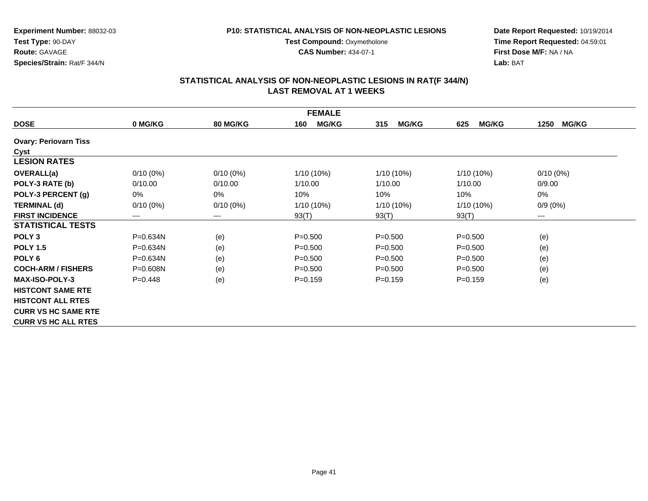#### **P10: STATISTICAL ANALYSIS OF NON-NEOPLASTIC LESIONS**

**Test Compound: Oxymetholone** 

**CAS Number:** 434-07-1

**Date Report Requested:** 10/19/2014**Time Report Requested:** 04:59:01**First Dose M/F:** NA / NA**Lab:** BAT

|                              |              |                        | <b>FEMALE</b>       |                     |                     |                      |
|------------------------------|--------------|------------------------|---------------------|---------------------|---------------------|----------------------|
| <b>DOSE</b>                  | 0 MG/KG      | <b>80 MG/KG</b>        | <b>MG/KG</b><br>160 | <b>MG/KG</b><br>315 | <b>MG/KG</b><br>625 | <b>MG/KG</b><br>1250 |
| <b>Ovary: Periovarn Tiss</b> |              |                        |                     |                     |                     |                      |
| Cyst                         |              |                        |                     |                     |                     |                      |
| <b>LESION RATES</b>          |              |                        |                     |                     |                     |                      |
| <b>OVERALL(a)</b>            | $0/10(0\%)$  | $0/10(0\%)$            | 1/10 (10%)          | 1/10 (10%)          | $1/10(10\%)$        | $0/10(0\%)$          |
| POLY-3 RATE (b)              | 0/10.00      | 0/10.00                | 1/10.00             | 1/10.00             | 1/10.00             | 0/9.00               |
| POLY-3 PERCENT (g)           | 0%           | 0%                     | 10%                 | 10%                 | 10%                 | $0\%$                |
| <b>TERMINAL (d)</b>          | $0/10(0\%)$  | $0/10(0\%)$            | 1/10 (10%)          | 1/10 (10%)          | $1/10(10\%)$        | $0/9(0\%)$           |
| <b>FIRST INCIDENCE</b>       | ---          | $\qquad \qquad \cdots$ | 93(T)               | 93(T)               | 93(T)               | ---                  |
| <b>STATISTICAL TESTS</b>     |              |                        |                     |                     |                     |                      |
| POLY <sub>3</sub>            | P=0.634N     | (e)                    | $P = 0.500$         | $P = 0.500$         | $P = 0.500$         | (e)                  |
| <b>POLY 1.5</b>              | $P = 0.634N$ | (e)                    | $P = 0.500$         | $P = 0.500$         | $P = 0.500$         | (e)                  |
| POLY <sub>6</sub>            | P=0.634N     | (e)                    | $P = 0.500$         | $P = 0.500$         | $P = 0.500$         | (e)                  |
| <b>COCH-ARM / FISHERS</b>    | $P = 0.608N$ | (e)                    | $P = 0.500$         | $P = 0.500$         | $P = 0.500$         | (e)                  |
| <b>MAX-ISO-POLY-3</b>        | $P=0.448$    | (e)                    | $P = 0.159$         | $P = 0.159$         | $P = 0.159$         | (e)                  |
| <b>HISTCONT SAME RTE</b>     |              |                        |                     |                     |                     |                      |
| <b>HISTCONT ALL RTES</b>     |              |                        |                     |                     |                     |                      |
| <b>CURR VS HC SAME RTE</b>   |              |                        |                     |                     |                     |                      |
| <b>CURR VS HC ALL RTES</b>   |              |                        |                     |                     |                     |                      |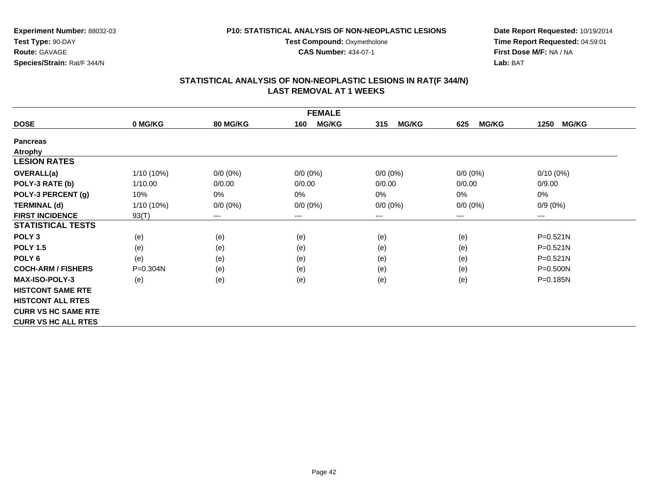**CAS Number:** 434-07-1

**Experiment Number:** 88032-03**Test Type:** 90-DAY**Route:** GAVAGE**Species/Strain:** Rat/F 344/N

**Date Report Requested:** 10/19/2014**Time Report Requested:** 04:59:01**First Dose M/F:** NA / NA**Lab:** BAT

|                            | <b>FEMALE</b> |                 |                        |                     |                     |                      |
|----------------------------|---------------|-----------------|------------------------|---------------------|---------------------|----------------------|
| <b>DOSE</b>                | 0 MG/KG       | <b>80 MG/KG</b> | <b>MG/KG</b><br>160    | <b>MG/KG</b><br>315 | <b>MG/KG</b><br>625 | <b>MG/KG</b><br>1250 |
| <b>Pancreas</b>            |               |                 |                        |                     |                     |                      |
| <b>Atrophy</b>             |               |                 |                        |                     |                     |                      |
| <b>LESION RATES</b>        |               |                 |                        |                     |                     |                      |
| <b>OVERALL(a)</b>          | 1/10 (10%)    | $0/0 (0\%)$     | $0/0 (0\%)$            | $0/0 (0\%)$         | $0/0 (0\%)$         | $0/10(0\%)$          |
| POLY-3 RATE (b)            | 1/10.00       | 0/0.00          | 0/0.00                 | 0/0.00              | 0/0.00              | 0/9.00               |
| POLY-3 PERCENT (g)         | 10%           | 0%              | 0%                     | $0\%$               | $0\%$               | 0%                   |
| <b>TERMINAL (d)</b>        | $1/10(10\%)$  | $0/0 (0\%)$     | $0/0 (0\%)$            | $0/0 (0\%)$         | $0/0 (0\%)$         | $0/9(0\%)$           |
| <b>FIRST INCIDENCE</b>     | 93(T)         | ---             | $\qquad \qquad \cdots$ | ---                 | ---                 | ---                  |
| <b>STATISTICAL TESTS</b>   |               |                 |                        |                     |                     |                      |
| POLY <sub>3</sub>          | (e)           | (e)             | (e)                    | (e)                 | (e)                 | $P = 0.521N$         |
| <b>POLY 1.5</b>            | (e)           | (e)             | (e)                    | (e)                 | (e)                 | $P = 0.521N$         |
| POLY <sub>6</sub>          | (e)           | (e)             | (e)                    | (e)                 | (e)                 | $P = 0.521N$         |
| <b>COCH-ARM / FISHERS</b>  | $P = 0.304N$  | (e)             | (e)                    | (e)                 | (e)                 | $P = 0.500N$         |
| <b>MAX-ISO-POLY-3</b>      | (e)           | (e)             | (e)                    | (e)                 | (e)                 | P=0.185N             |
| <b>HISTCONT SAME RTE</b>   |               |                 |                        |                     |                     |                      |
| <b>HISTCONT ALL RTES</b>   |               |                 |                        |                     |                     |                      |
| <b>CURR VS HC SAME RTE</b> |               |                 |                        |                     |                     |                      |
| <b>CURR VS HC ALL RTES</b> |               |                 |                        |                     |                     |                      |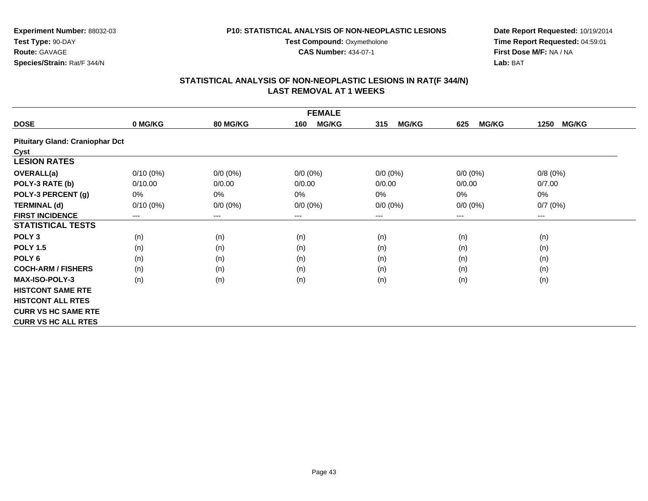**Experiment Number:** 88032-03**Test Type:** 90-DAY**Route:** GAVAGE**Species/Strain:** Rat/F 344/N

**Date Report Requested:** 10/19/2014**Time Report Requested:** 04:59:01**First Dose M/F:** NA / NA**Lab:** BAT

## **STATISTICAL ANALYSIS OF NON-NEOPLASTIC LESIONS IN RAT(F 344/N) LAST REMOVAL AT 1 WEEKS**

**CAS Number:** 434-07-1

|                                        |             |                 | <b>FEMALE</b>          |                     |                     |                      |
|----------------------------------------|-------------|-----------------|------------------------|---------------------|---------------------|----------------------|
| <b>DOSE</b>                            | 0 MG/KG     | <b>80 MG/KG</b> | <b>MG/KG</b><br>160    | 315<br><b>MG/KG</b> | <b>MG/KG</b><br>625 | 1250<br><b>MG/KG</b> |
| <b>Pituitary Gland: Craniophar Dct</b> |             |                 |                        |                     |                     |                      |
| Cyst                                   |             |                 |                        |                     |                     |                      |
| <b>LESION RATES</b>                    |             |                 |                        |                     |                     |                      |
| OVERALL(a)                             | $0/10(0\%)$ | $0/0 (0\%)$     | $0/0 (0\%)$            | $0/0 (0\%)$         | $0/0 (0\%)$         | 0/8(0%)              |
| POLY-3 RATE (b)                        | 0/10.00     | 0/0.00          | 0/0.00                 | 0/0.00              | 0/0.00              | 0/7.00               |
| POLY-3 PERCENT (g)                     | $0\%$       | 0%              | 0%                     | 0%                  | 0%                  | 0%                   |
| <b>TERMINAL (d)</b>                    | $0/10(0\%)$ | $0/0 (0\%)$     | $0/0 (0\%)$            | $0/0 (0\%)$         | $0/0 (0\%)$         | 0/7(0%)              |
| <b>FIRST INCIDENCE</b>                 | $---$       | ---             | $\qquad \qquad \cdots$ | $---$               | ---                 | $--$                 |
| <b>STATISTICAL TESTS</b>               |             |                 |                        |                     |                     |                      |
| POLY <sub>3</sub>                      | (n)         | (n)             | (n)                    | (n)                 | (n)                 | (n)                  |
| <b>POLY 1.5</b>                        | (n)         | (n)             | (n)                    | (n)                 | (n)                 | (n)                  |
| POLY <sub>6</sub>                      | (n)         | (n)             | (n)                    | (n)                 | (n)                 | (n)                  |
| <b>COCH-ARM / FISHERS</b>              | (n)         | (n)             | (n)                    | (n)                 | (n)                 | (n)                  |
| <b>MAX-ISO-POLY-3</b>                  | (n)         | (n)             | (n)                    | (n)                 | (n)                 | (n)                  |
| <b>HISTCONT SAME RTE</b>               |             |                 |                        |                     |                     |                      |
| <b>HISTCONT ALL RTES</b>               |             |                 |                        |                     |                     |                      |
| <b>CURR VS HC SAME RTE</b>             |             |                 |                        |                     |                     |                      |
| <b>CURR VS HC ALL RTES</b>             |             |                 |                        |                     |                     |                      |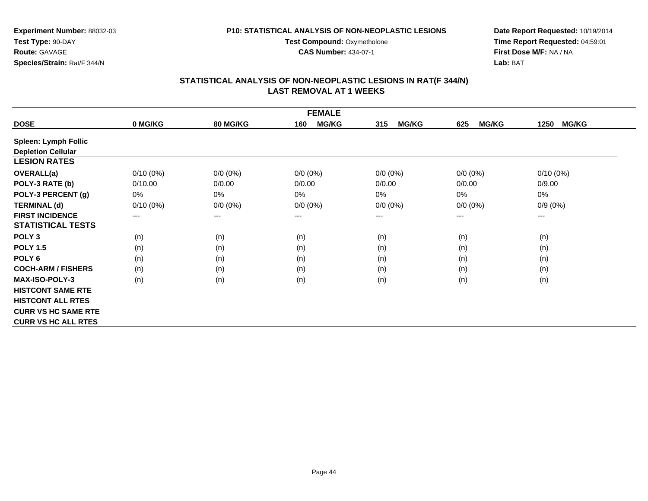**Test Compound: Oxymetholone CAS Number:** 434-07-1

**Experiment Number:** 88032-03**Test Type:** 90-DAY**Route:** GAVAGE**Species/Strain:** Rat/F 344/N

**Date Report Requested:** 10/19/2014**Time Report Requested:** 04:59:01**First Dose M/F:** NA / NA**Lab:** BAT

|                             |             |                 | <b>FEMALE</b>              |                     |                     |                      |
|-----------------------------|-------------|-----------------|----------------------------|---------------------|---------------------|----------------------|
| <b>DOSE</b>                 | 0 MG/KG     | <b>80 MG/KG</b> | <b>MG/KG</b><br>160        | 315<br><b>MG/KG</b> | 625<br><b>MG/KG</b> | <b>MG/KG</b><br>1250 |
| <b>Spleen: Lymph Follic</b> |             |                 |                            |                     |                     |                      |
| <b>Depletion Cellular</b>   |             |                 |                            |                     |                     |                      |
| <b>LESION RATES</b>         |             |                 |                            |                     |                     |                      |
| <b>OVERALL(a)</b>           | $0/10(0\%)$ | $0/0 (0\%)$     | $0/0 (0\%)$                | $0/0 (0\%)$         | $0/0 (0\%)$         | $0/10(0\%)$          |
| POLY-3 RATE (b)             | 0/10.00     | 0/0.00          | 0/0.00                     | 0/0.00              | 0/0.00              | 0/9.00               |
| POLY-3 PERCENT (g)          | 0%          | 0%              | 0%                         | 0%                  | 0%                  | 0%                   |
| <b>TERMINAL (d)</b>         | $0/10(0\%)$ | $0/0 (0\%)$     | $0/0 (0\%)$                | $0/0 (0\%)$         | $0/0 (0\%)$         | $0/9(0\%)$           |
| <b>FIRST INCIDENCE</b>      | $---$       | ---             | $\qquad \qquad - \qquad -$ | $--$                | ---                 | ---                  |
| <b>STATISTICAL TESTS</b>    |             |                 |                            |                     |                     |                      |
| POLY <sub>3</sub>           | (n)         | (n)             | (n)                        | (n)                 | (n)                 | (n)                  |
| <b>POLY 1.5</b>             | (n)         | (n)             | (n)                        | (n)                 | (n)                 | (n)                  |
| POLY <sub>6</sub>           | (n)         | (n)             | (n)                        | (n)                 | (n)                 | (n)                  |
| <b>COCH-ARM / FISHERS</b>   | (n)         | (n)             | (n)                        | (n)                 | (n)                 | (n)                  |
| <b>MAX-ISO-POLY-3</b>       | (n)         | (n)             | (n)                        | (n)                 | (n)                 | (n)                  |
| <b>HISTCONT SAME RTE</b>    |             |                 |                            |                     |                     |                      |
| <b>HISTCONT ALL RTES</b>    |             |                 |                            |                     |                     |                      |
| <b>CURR VS HC SAME RTE</b>  |             |                 |                            |                     |                     |                      |
| <b>CURR VS HC ALL RTES</b>  |             |                 |                            |                     |                     |                      |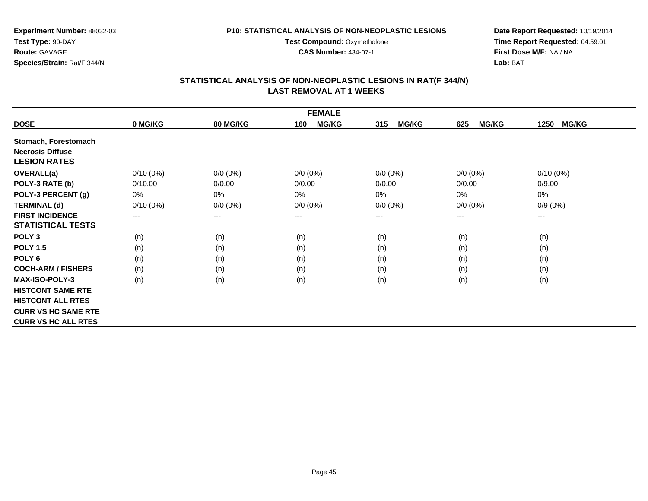**Experiment Number:** 88032-03**Test Type:** 90-DAY**Route:** GAVAGE**Species/Strain:** Rat/F 344/N

**Date Report Requested:** 10/19/2014**Time Report Requested:** 04:59:01**First Dose M/F:** NA / NA**Lab:** BAT

## **STATISTICAL ANALYSIS OF NON-NEOPLASTIC LESIONS IN RAT(F 344/N) LAST REMOVAL AT 1 WEEKS**

**CAS Number:** 434-07-1

|                            |             |                 | <b>FEMALE</b>       |                     |                     |                      |
|----------------------------|-------------|-----------------|---------------------|---------------------|---------------------|----------------------|
| <b>DOSE</b>                | 0 MG/KG     | <b>80 MG/KG</b> | <b>MG/KG</b><br>160 | <b>MG/KG</b><br>315 | <b>MG/KG</b><br>625 | <b>MG/KG</b><br>1250 |
| Stomach, Forestomach       |             |                 |                     |                     |                     |                      |
| <b>Necrosis Diffuse</b>    |             |                 |                     |                     |                     |                      |
| <b>LESION RATES</b>        |             |                 |                     |                     |                     |                      |
| <b>OVERALL(a)</b>          | $0/10(0\%)$ | $0/0 (0\%)$     | $0/0(0\%)$          | $0/0 (0\%)$         | $0/0 (0\%)$         | $0/10(0\%)$          |
| POLY-3 RATE (b)            | 0/10.00     | 0/0.00          | 0/0.00              | 0/0.00              | 0/0.00              | 0/9.00               |
| POLY-3 PERCENT (g)         | 0%          | 0%              | 0%                  | 0%                  | 0%                  | 0%                   |
| <b>TERMINAL (d)</b>        | $0/10(0\%)$ | $0/0 (0\%)$     | $0/0 (0\%)$         | $0/0 (0\%)$         | $0/0 (0\%)$         | $0/9(0\%)$           |
| <b>FIRST INCIDENCE</b>     | ---         | $--$            | ---                 | $--$                | ---                 | ---                  |
| <b>STATISTICAL TESTS</b>   |             |                 |                     |                     |                     |                      |
| POLY <sub>3</sub>          | (n)         | (n)             | (n)                 | (n)                 | (n)                 | (n)                  |
| <b>POLY 1.5</b>            | (n)         | (n)             | (n)                 | (n)                 | (n)                 | (n)                  |
| POLY 6                     | (n)         | (n)             | (n)                 | (n)                 | (n)                 | (n)                  |
| <b>COCH-ARM / FISHERS</b>  | (n)         | (n)             | (n)                 | (n)                 | (n)                 | (n)                  |
| <b>MAX-ISO-POLY-3</b>      | (n)         | (n)             | (n)                 | (n)                 | (n)                 | (n)                  |
| <b>HISTCONT SAME RTE</b>   |             |                 |                     |                     |                     |                      |
| <b>HISTCONT ALL RTES</b>   |             |                 |                     |                     |                     |                      |
| <b>CURR VS HC SAME RTE</b> |             |                 |                     |                     |                     |                      |
| <b>CURR VS HC ALL RTES</b> |             |                 |                     |                     |                     |                      |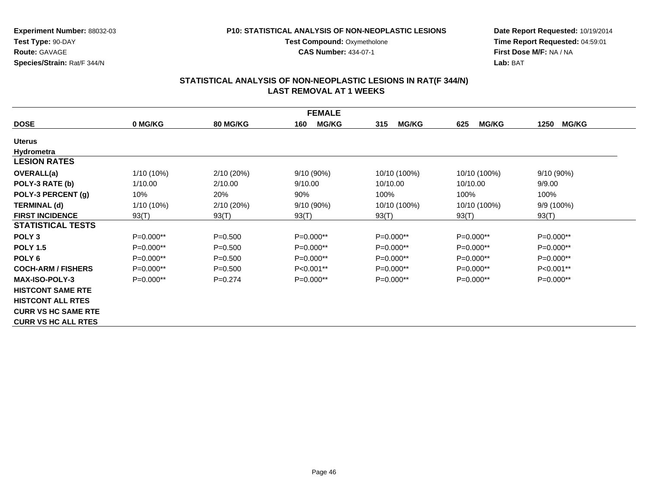**Test Compound: Oxymetholone CAS Number:** 434-07-1

**Experiment Number:** 88032-03**Test Type:** 90-DAY**Route:** GAVAGE**Species/Strain:** Rat/F 344/N

**Date Report Requested:** 10/19/2014**Time Report Requested:** 04:59:01**First Dose M/F:** NA / NA**Lab:** BAT

|                            |              |                 | <b>FEMALE</b>       |                     |                     |                      |
|----------------------------|--------------|-----------------|---------------------|---------------------|---------------------|----------------------|
| <b>DOSE</b>                | 0 MG/KG      | <b>80 MG/KG</b> | <b>MG/KG</b><br>160 | <b>MG/KG</b><br>315 | <b>MG/KG</b><br>625 | <b>MG/KG</b><br>1250 |
| <b>Uterus</b>              |              |                 |                     |                     |                     |                      |
| Hydrometra                 |              |                 |                     |                     |                     |                      |
| <b>LESION RATES</b>        |              |                 |                     |                     |                     |                      |
| <b>OVERALL(a)</b>          | $1/10(10\%)$ | 2/10(20%)       | 9/10 (90%)          | 10/10 (100%)        | 10/10 (100%)        | 9/10(90%)            |
| POLY-3 RATE (b)            | 1/10.00      | 2/10.00         | 9/10.00             | 10/10.00            | 10/10.00            | 9/9.00               |
| POLY-3 PERCENT (g)         | 10%          | 20%             | 90%                 | 100%                | 100%                | 100%                 |
| <b>TERMINAL (d)</b>        | $1/10(10\%)$ | 2/10(20%)       | 9/10 (90%)          | 10/10 (100%)        | 10/10 (100%)        | 9/9 (100%)           |
| <b>FIRST INCIDENCE</b>     | 93(T)        | 93(T)           | 93(T)               | 93(T)               | 93(T)               | 93(T)                |
| <b>STATISTICAL TESTS</b>   |              |                 |                     |                     |                     |                      |
| POLY <sub>3</sub>          | P=0.000**    | $P = 0.500$     | P=0.000**           | $P=0.000**$         | $P=0.000**$         | P=0.000**            |
| <b>POLY 1.5</b>            | P=0.000**    | $P = 0.500$     | P=0.000**           | $P=0.000**$         | P=0.000**           | P=0.000**            |
| POLY <sub>6</sub>          | $P=0.000**$  | $P = 0.500$     | P=0.000**           | $P=0.000**$         | $P=0.000**$         | P=0.000**            |
| <b>COCH-ARM / FISHERS</b>  | $P=0.000**$  | $P = 0.500$     | P<0.001**           | $P=0.000**$         | $P=0.000**$         | P<0.001**            |
| <b>MAX-ISO-POLY-3</b>      | $P=0.000**$  | $P=0.274$       | $P=0.000**$         | $P=0.000**$         | $P=0.000**$         | $P=0.000**$          |
| <b>HISTCONT SAME RTE</b>   |              |                 |                     |                     |                     |                      |
| <b>HISTCONT ALL RTES</b>   |              |                 |                     |                     |                     |                      |
| <b>CURR VS HC SAME RTE</b> |              |                 |                     |                     |                     |                      |
| <b>CURR VS HC ALL RTES</b> |              |                 |                     |                     |                     |                      |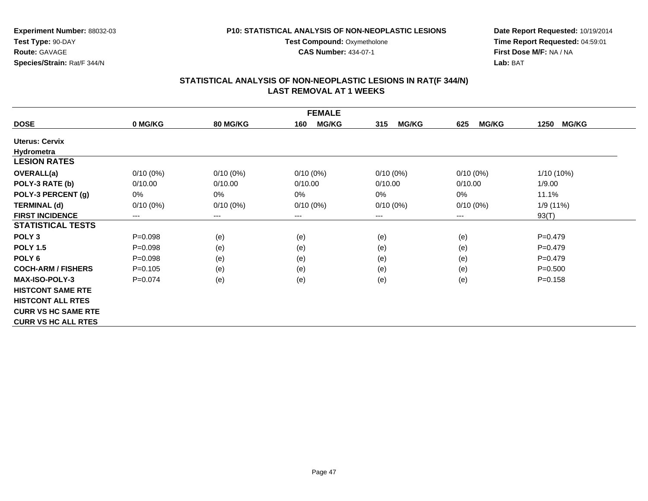**Test Compound: Oxymetholone CAS Number:** 434-07-1

**Experiment Number:** 88032-03**Test Type:** 90-DAY**Route:** GAVAGE**Species/Strain:** Rat/F 344/N

**Date Report Requested:** 10/19/2014**Time Report Requested:** 04:59:01**First Dose M/F:** NA / NA**Lab:** BAT

|                            | <b>FEMALE</b> |                 |                     |                     |                     |                      |
|----------------------------|---------------|-----------------|---------------------|---------------------|---------------------|----------------------|
| <b>DOSE</b>                | 0 MG/KG       | <b>80 MG/KG</b> | <b>MG/KG</b><br>160 | <b>MG/KG</b><br>315 | <b>MG/KG</b><br>625 | <b>MG/KG</b><br>1250 |
| <b>Uterus: Cervix</b>      |               |                 |                     |                     |                     |                      |
| Hydrometra                 |               |                 |                     |                     |                     |                      |
| <b>LESION RATES</b>        |               |                 |                     |                     |                     |                      |
| <b>OVERALL(a)</b>          | $0/10(0\%)$   | $0/10(0\%)$     | $0/10(0\%)$         | $0/10(0\%)$         | $0/10(0\%)$         | $1/10(10\%)$         |
| POLY-3 RATE (b)            | 0/10.00       | 0/10.00         | 0/10.00             | 0/10.00             | 0/10.00             | 1/9.00               |
| POLY-3 PERCENT (g)         | 0%            | 0%              | 0%                  | 0%                  | 0%                  | 11.1%                |
| <b>TERMINAL (d)</b>        | $0/10(0\%)$   | $0/10(0\%)$     | $0/10(0\%)$         | $0/10(0\%)$         | $0/10(0\%)$         | 1/9 (11%)            |
| <b>FIRST INCIDENCE</b>     | ---           | $---$           | $--$                | ---                 | $--$                | 93(T)                |
| <b>STATISTICAL TESTS</b>   |               |                 |                     |                     |                     |                      |
| POLY <sub>3</sub>          | $P = 0.098$   | (e)             | (e)                 | (e)                 | (e)                 | $P=0.479$            |
| <b>POLY 1.5</b>            | $P=0.098$     | (e)             | (e)                 | (e)                 | (e)                 | $P=0.479$            |
| POLY <sub>6</sub>          | $P = 0.098$   | (e)             | (e)                 | (e)                 | (e)                 | $P=0.479$            |
| <b>COCH-ARM / FISHERS</b>  | $P=0.105$     | (e)             | (e)                 | (e)                 | (e)                 | $P = 0.500$          |
| <b>MAX-ISO-POLY-3</b>      | $P=0.074$     | (e)             | (e)                 | (e)                 | (e)                 | $P = 0.158$          |
| <b>HISTCONT SAME RTE</b>   |               |                 |                     |                     |                     |                      |
| <b>HISTCONT ALL RTES</b>   |               |                 |                     |                     |                     |                      |
| <b>CURR VS HC SAME RTE</b> |               |                 |                     |                     |                     |                      |
| <b>CURR VS HC ALL RTES</b> |               |                 |                     |                     |                     |                      |